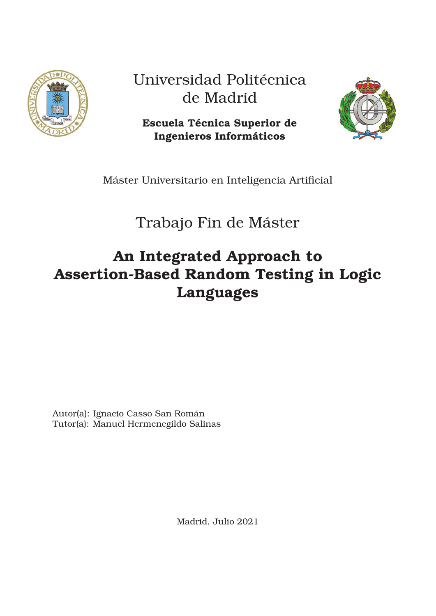

Universidad Politécnica de Madrid

**Escuela Técnica Superior de Ingenieros Informáticos**



Máster Universitario en Inteligencia Artificial

# Trabajo Fin de Máster

# **An Integrated Approach to Assertion-Based Random Testing in Logic Languages**

Autor(a): Ignacio Casso San Román Tutor(a): Manuel Hermenegildo Salinas

Madrid, Julio 2021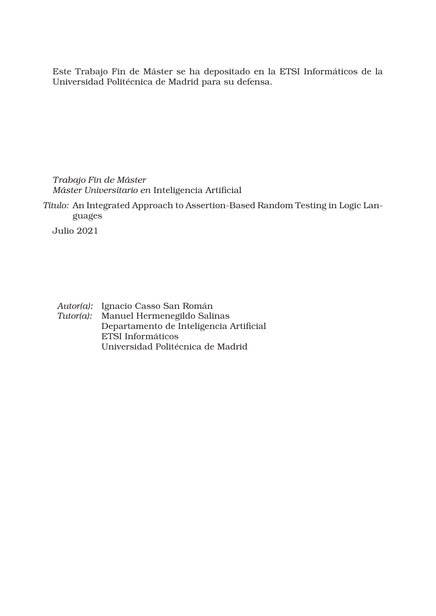Este Trabajo Fin de Máster se ha depositado en la ETSI Informáticos de la Universidad Politécnica de Madrid para su defensa.

#### *Trabajo Fin de Máster Máster Universitario en* Inteligencia Artificial

*Título:* An Integrated Approach to Assertion-Based Random Testing in Logic Languages

Julio 2021

*Autor(a):* Ignacio Casso San Román *Tutor(a):* Manuel Hermenegildo Salinas Departamento de Inteligencia Artificial ETSI Informáticos Universidad Politécnica de Madrid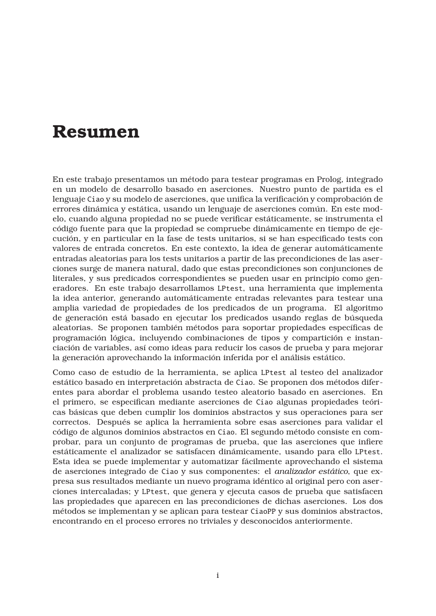## **Resumen**

En este trabajo presentamos un método para testear programas en Prolog, integrado en un modelo de desarrollo basado en aserciones. Nuestro punto de partida es el lenguaje Ciao y su modelo de aserciones, que unifica la verificación y comprobación de errores dinámica y estática, usando un lenguaje de aserciones común. En este modelo, cuando alguna propiedad no se puede verificar estáticamente, se instrumenta el código fuente para que la propiedad se compruebe dinámicamente en tiempo de ejecución, y en particular en la fase de tests unitarios, si se han especificado tests con valores de entrada concretos. En este contexto, la idea de generar automáticamente entradas aleatorias para los tests unitarios a partir de las precondiciones de las aserciones surge de manera natural, dado que estas precondiciones son conjunciones de literales, y sus predicados correspondientes se pueden usar en principio como generadores. En este trabajo desarrollamos LPtest, una herramienta que implementa la idea anterior, generando automáticamente entradas relevantes para testear una amplia variedad de propiedades de los predicados de un programa. El algoritmo de generación está basado en ejecutar los predicados usando reglas de búsqueda aleatorias. Se proponen también métodos para soportar propiedades específicas de programación lógica, incluyendo combinaciones de tipos y compartición e instanciación de variables, así como ideas para reducir los casos de prueba y para mejorar la generación aprovechando la información inferida por el análisis estático.

Como caso de estudio de la herramienta, se aplica LPtest al testeo del analizador estático basado en interpretación abstracta de Ciao. Se proponen dos métodos diferentes para abordar el problema usando testeo aleatorio basado en aserciones. En el primero, se especifican mediante aserciones de Ciao algunas propiedades teóricas básicas que deben cumplir los dominios abstractos y sus operaciones para ser correctos. Después se aplica la herramienta sobre esas aserciones para validar el código de algunos dominios abstractos en Ciao. El segundo método consiste en comprobar, para un conjunto de programas de prueba, que las aserciones que infiere estáticamente el analizador se satisfacen dinámicamente, usando para ello LPtest. Esta idea se puede implementar y automatizar fácilmente aprovechando el sistema de aserciones integrado de Ciao y sus componentes: el *analizador estático*, que expresa sus resultados mediante un nuevo programa idéntico al original pero con aserciones intercaladas; y LPtest, que genera y ejecuta casos de prueba que satisfacen las propiedades que aparecen en las precondiciones de dichas aserciones. Los dos métodos se implementan y se aplican para testear CiaoPP y sus dominios abstractos, encontrando en el proceso errores no triviales y desconocidos anteriormente.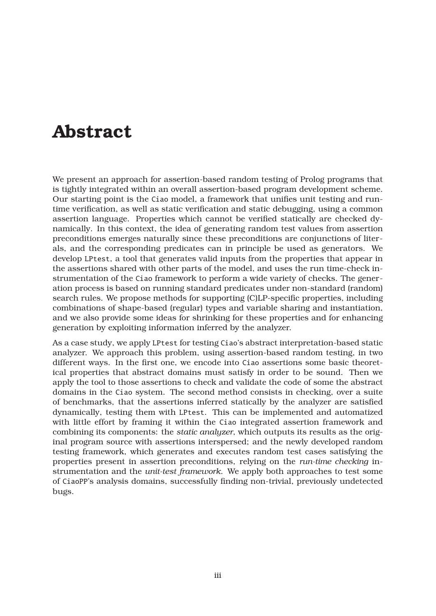## **Abstract**

We present an approach for assertion-based random testing of Prolog programs that is tightly integrated within an overall assertion-based program development scheme. Our starting point is the Ciao model, a framework that unifies unit testing and runtime verification, as well as static verification and static debugging, using a common assertion language. Properties which cannot be verified statically are checked dynamically. In this context, the idea of generating random test values from assertion preconditions emerges naturally since these preconditions are conjunctions of literals, and the corresponding predicates can in principle be used as generators. We develop LPtest, a tool that generates valid inputs from the properties that appear in the assertions shared with other parts of the model, and uses the run time-check instrumentation of the Ciao framework to perform a wide variety of checks. The generation process is based on running standard predicates under non-standard (random) search rules. We propose methods for supporting (C)LP-specific properties, including combinations of shape-based (regular) types and variable sharing and instantiation, and we also provide some ideas for shrinking for these properties and for enhancing generation by exploiting information inferred by the analyzer.

As a case study, we apply LPtest for testing Ciao's abstract interpretation-based static analyzer. We approach this problem, using assertion-based random testing, in two different ways. In the first one, we encode into Ciao assertions some basic theoretical properties that abstract domains must satisfy in order to be sound. Then we apply the tool to those assertions to check and validate the code of some the abstract domains in the Ciao system. The second method consists in checking, over a suite of benchmarks, that the assertions inferred statically by the analyzer are satisfied dynamically, testing them with LPtest. This can be implemented and automatized with little effort by framing it within the Ciao integrated assertion framework and combining its components: the *static analyzer*, which outputs its results as the original program source with assertions interspersed; and the newly developed random testing framework, which generates and executes random test cases satisfying the properties present in assertion preconditions, relying on the *run-time checking* instrumentation and the *unit-test framework*. We apply both approaches to test some of CiaoPP's analysis domains, successfully finding non-trivial, previously undetected bugs.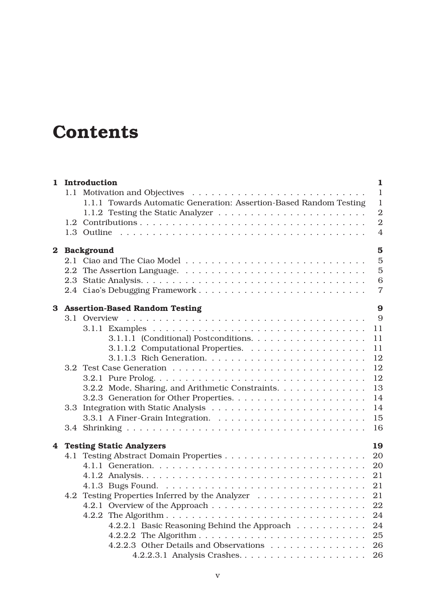# **Contents**

|  | 1 Introduction                                                     | 1              |  |  |
|--|--------------------------------------------------------------------|----------------|--|--|
|  |                                                                    |                |  |  |
|  | 1.1.1 Towards Automatic Generation: Assertion-Based Random Testing | $\mathbf{1}$   |  |  |
|  |                                                                    | $\overline{2}$ |  |  |
|  |                                                                    | $\overline{2}$ |  |  |
|  |                                                                    | $\overline{4}$ |  |  |
|  | 2 Background                                                       | $\overline{5}$ |  |  |
|  |                                                                    | $\overline{5}$ |  |  |
|  |                                                                    | 5              |  |  |
|  |                                                                    | 6              |  |  |
|  | 2.4 Ciao's Debugging Framework                                     | $\overline{7}$ |  |  |
|  | 3 Assertion-Based Random Testing                                   | 9              |  |  |
|  | 3.1 Overview                                                       | 9              |  |  |
|  |                                                                    | 11             |  |  |
|  | 3.1.1.1 (Conditional) Postconditions.                              | 11             |  |  |
|  | 3.1.1.2 Computational Properties.                                  | 11             |  |  |
|  |                                                                    | 12             |  |  |
|  |                                                                    | 12             |  |  |
|  |                                                                    | 12             |  |  |
|  | 3.2.2 Mode, Sharing, and Arithmetic Constraints.                   | 13             |  |  |
|  |                                                                    | 14             |  |  |
|  |                                                                    | 14             |  |  |
|  |                                                                    | 15             |  |  |
|  |                                                                    | 16             |  |  |
|  | <b>4 Testing Static Analyzers</b>                                  | 19             |  |  |
|  |                                                                    | 20             |  |  |
|  |                                                                    | 20             |  |  |
|  |                                                                    | 21             |  |  |
|  |                                                                    | 21             |  |  |
|  | 4.2 Testing Properties Inferred by the Analyzer                    | 21             |  |  |
|  |                                                                    | 22             |  |  |
|  |                                                                    | 24             |  |  |
|  | 4.2.2.1 Basic Reasoning Behind the Approach                        | 24             |  |  |
|  |                                                                    | 25             |  |  |
|  | 4.2.2.3 Other Details and Observations                             | 26             |  |  |
|  |                                                                    | 26             |  |  |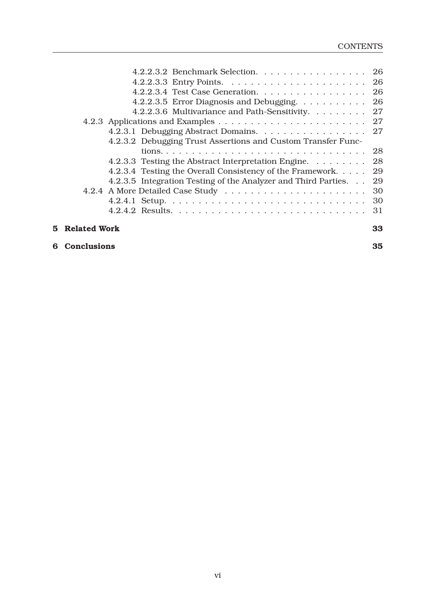|    |                     | 4.2.2.3.2 Benchmark Selection 26                              |    |
|----|---------------------|---------------------------------------------------------------|----|
|    |                     |                                                               |    |
|    |                     | 4.2.2.3.4 Test Case Generation. 26                            |    |
|    |                     | 4.2.2.3.5 Error Diagnosis and Debugging. 26                   |    |
|    |                     | 4.2.2.3.6 Multivariance and Path-Sensitivity. 27              |    |
|    |                     |                                                               |    |
|    |                     | 4.2.3.1 Debugging Abstract Domains. 27                        |    |
|    |                     | 4.2.3.2 Debugging Trust Assertions and Custom Transfer Func-  |    |
|    |                     |                                                               |    |
|    |                     | 4.2.3.3 Testing the Abstract Interpretation Engine. 28        |    |
|    |                     | 4.2.3.4 Testing the Overall Consistency of the Framework      | 29 |
|    |                     | 4.2.3.5 Integration Testing of the Analyzer and Third Parties | 29 |
|    |                     |                                                               |    |
|    |                     |                                                               | 30 |
|    |                     |                                                               | 31 |
| 5. | <b>Related Work</b> |                                                               | 33 |
|    | 6 Conclusions       |                                                               | 35 |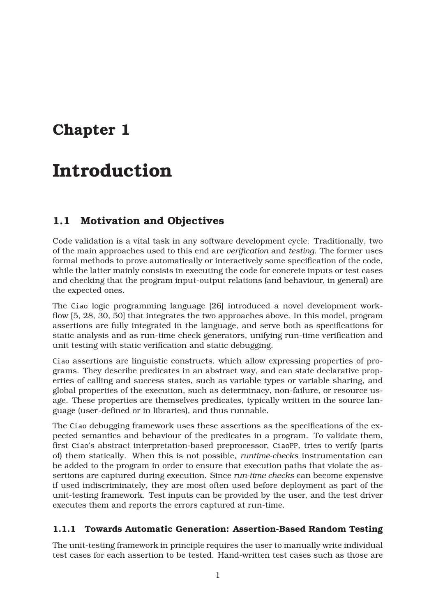## **Chapter 1**

# **Introduction**

## **1.1 Motivation and Objectives**

Code validation is a vital task in any software development cycle. Traditionally, two of the main approaches used to this end are *verification* and *testing*. The former uses formal methods to prove automatically or interactively some specification of the code, while the latter mainly consists in executing the code for concrete inputs or test cases and checking that the program input-output relations (and behaviour, in general) are the expected ones.

The Ciao logic programming language [26] introduced a novel development workflow [5, 28, 30, 50] that integrates the two approaches above. In this model, program assertions are fully integrated in the language, and serve both as specifications for static analysis and as run-time check generators, unifying run-time verification and unit testing with static verification and static debugging.

Ciao assertions are linguistic constructs, which allow expressing properties of programs. They describe predicates in an abstract way, and can state declarative properties of calling and success states, such as variable types or variable sharing, and global properties of the execution, such as determinacy, non-failure, or resource usage. These properties are themselves predicates, typically written in the source language (user-defined or in libraries), and thus runnable.

The Ciao debugging framework uses these assertions as the specifications of the expected semantics and behaviour of the predicates in a program. To validate them, first Ciao's abstract interpretation-based preprocessor, CiaoPP, tries to verify (parts of) them statically. When this is not possible, *runtime-checks* instrumentation can be added to the program in order to ensure that execution paths that violate the assertions are captured during execution. Since *run-time checks* can become expensive if used indiscriminately, they are most often used before deployment as part of the unit-testing framework. Test inputs can be provided by the user, and the test driver executes them and reports the errors captured at run-time.

#### **1.1.1 Towards Automatic Generation: Assertion-Based Random Testing**

The unit-testing framework in principle requires the user to manually write individual test cases for each assertion to be tested. Hand-written test cases such as those are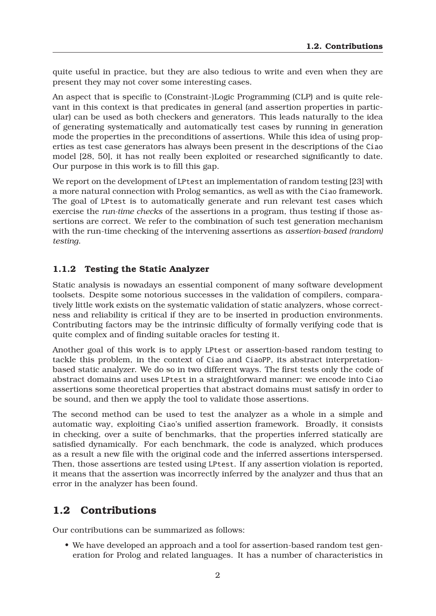quite useful in practice, but they are also tedious to write and even when they are present they may not cover some interesting cases.

An aspect that is specific to (Constraint-)Logic Programming (CLP) and is quite relevant in this context is that predicates in general (and assertion properties in particular) can be used as both checkers and generators. This leads naturally to the idea of generating systematically and automatically test cases by running in generation mode the properties in the preconditions of assertions. While this idea of using properties as test case generators has always been present in the descriptions of the Ciao model [28, 50], it has not really been exploited or researched significantly to date. Our purpose in this work is to fill this gap.

We report on the development of LPtest an implementation of random testing [23] with a more natural connection with Prolog semantics, as well as with the Ciao framework. The goal of LPtest is to automatically generate and run relevant test cases which exercise the *run-time checks* of the assertions in a program, thus testing if those assertions are correct. We refer to the combination of such test generation mechanism with the run-time checking of the intervening assertions as *assertion-based (random) testing*.

#### **1.1.2 Testing the Static Analyzer**

Static analysis is nowadays an essential component of many software development toolsets. Despite some notorious successes in the validation of compilers, comparatively little work exists on the systematic validation of static analyzers, whose correctness and reliability is critical if they are to be inserted in production environments. Contributing factors may be the intrinsic difficulty of formally verifying code that is quite complex and of finding suitable oracles for testing it.

Another goal of this work is to apply LPtest or assertion-based random testing to tackle this problem, in the context of Ciao and CiaoPP, its abstract interpretationbased static analyzer. We do so in two different ways. The first tests only the code of abstract domains and uses LPtest in a straightforward manner: we encode into Ciao assertions some theoretical properties that abstract domains must satisfy in order to be sound, and then we apply the tool to validate those assertions.

The second method can be used to test the analyzer as a whole in a simple and automatic way, exploiting Ciao's unified assertion framework. Broadly, it consists in checking, over a suite of benchmarks, that the properties inferred statically are satisfied dynamically. For each benchmark, the code is analyzed, which produces as a result a new file with the original code and the inferred assertions interspersed. Then, those assertions are tested using LPtest. If any assertion violation is reported, it means that the assertion was incorrectly inferred by the analyzer and thus that an error in the analyzer has been found.

## **1.2 Contributions**

Our contributions can be summarized as follows:

• We have developed an approach and a tool for assertion-based random test generation for Prolog and related languages. It has a number of characteristics in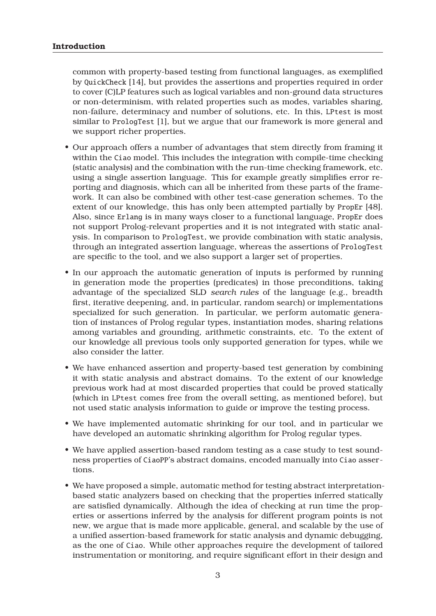common with property-based testing from functional languages, as exemplified by QuickCheck [14], but provides the assertions and properties required in order to cover (C)LP features such as logical variables and non-ground data structures or non-determinism, with related properties such as modes, variables sharing, non-failure, determinacy and number of solutions, etc. In this, LPtest is most similar to PrologTest [1], but we argue that our framework is more general and we support richer properties.

- Our approach offers a number of advantages that stem directly from framing it within the Ciao model. This includes the integration with compile-time checking (static analysis) and the combination with the run-time checking framework, etc. using a single assertion language. This for example greatly simplifies error reporting and diagnosis, which can all be inherited from these parts of the framework. It can also be combined with other test-case generation schemes. To the extent of our knowledge, this has only been attempted partially by PropEr [48]. Also, since Erlang is in many ways closer to a functional language, PropEr does not support Prolog-relevant properties and it is not integrated with static analysis. In comparison to PrologTest, we provide combination with static analysis, through an integrated assertion language, whereas the assertions of PrologTest are specific to the tool, and we also support a larger set of properties.
- In our approach the automatic generation of inputs is performed by running in generation mode the properties (predicates) in those preconditions, taking advantage of the specialized SLD *search rules* of the language (e.g., breadth first, iterative deepening, and, in particular, random search) or implementations specialized for such generation. In particular, we perform automatic generation of instances of Prolog regular types, instantiation modes, sharing relations among variables and grounding, arithmetic constraints, etc. To the extent of our knowledge all previous tools only supported generation for types, while we also consider the latter.
- We have enhanced assertion and property-based test generation by combining it with static analysis and abstract domains. To the extent of our knowledge previous work had at most discarded properties that could be proved statically (which in LPtest comes free from the overall setting, as mentioned before), but not used static analysis information to guide or improve the testing process.
- We have implemented automatic shrinking for our tool, and in particular we have developed an automatic shrinking algorithm for Prolog regular types.
- We have applied assertion-based random testing as a case study to test soundness properties of CiaoPP's abstract domains, encoded manually into Ciao assertions.
- We have proposed a simple, automatic method for testing abstract interpretationbased static analyzers based on checking that the properties inferred statically are satisfied dynamically. Although the idea of checking at run time the properties or assertions inferred by the analysis for different program points is not new, we argue that is made more applicable, general, and scalable by the use of a unified assertion-based framework for static analysis and dynamic debugging, as the one of Ciao. While other approaches require the development of tailored instrumentation or monitoring, and require significant effort in their design and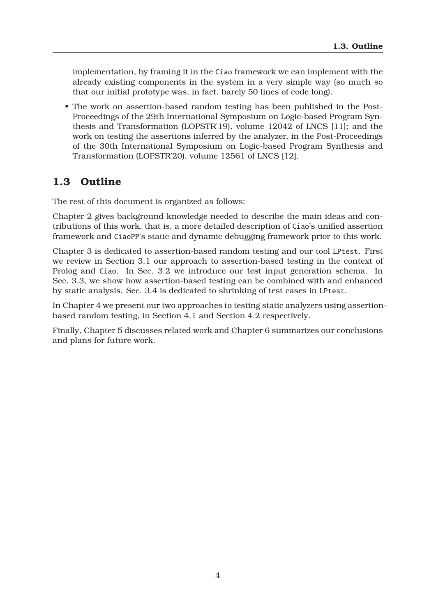implementation, by framing it in the Ciao framework we can implement with the already existing components in the system in a very simple way (so much so that our initial prototype was, in fact, barely 50 lines of code long).

• The work on assertion-based random testing has been published in the Post-Proceedings of the 29th International Symposium on Logic-based Program Synthesis and Transformation (LOPSTR'19), volume 12042 of LNCS [11]; and the work on testing the assertions inferred by the analyzer, in the Post-Proceedings of the 30th International Symposium on Logic-based Program Synthesis and Transformation (LOPSTR'20), volume 12561 of LNCS [12].

## **1.3 Outline**

The rest of this document is organized as follows:

Chapter 2 gives background knowledge needed to describe the main ideas and contributions of this work, that is, a more detailed description of Ciao's unified assertion framework and CiaoPP's static and dynamic debugging framework prior to this work.

Chapter 3 is dedicated to assertion-based random testing and our tool LPtest. First we review in Section 3.1 our approach to assertion-based testing in the context of Prolog and Ciao. In Sec. 3.2 we introduce our test input generation schema. In Sec. 3.3, we show how assertion-based testing can be combined with and enhanced by static analysis. Sec. 3.4 is dedicated to shrinking of test cases in LPtest.

In Chapter 4 we present our two approaches to testing static analyzers using assertionbased random testing, in Section 4.1 and Section 4.2 respectively.

Finally, Chapter 5 discusses related work and Chapter 6 summarizes our conclusions and plans for future work.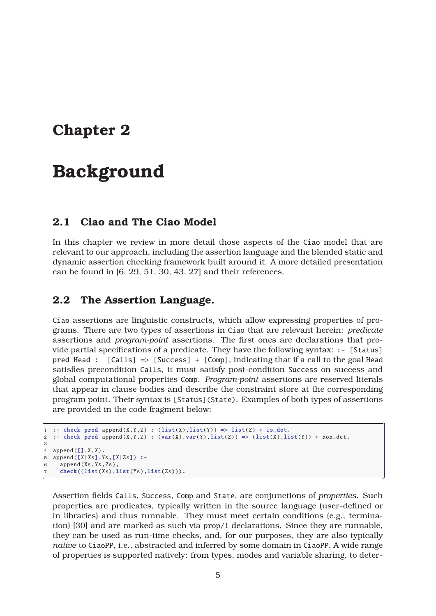## **Chapter 2**

✄

## **Background**

### **2.1 Ciao and The Ciao Model**

In this chapter we review in more detail those aspects of the Ciao model that are relevant to our approach, including the assertion language and the blended static and dynamic assertion checking framework built around it. A more detailed presentation can be found in [6, 29, 51, 30, 43, 27] and their references.

### **2.2 The Assertion Language.**

Ciao assertions are linguistic constructs, which allow expressing properties of programs. There are two types of assertions in Ciao that are relevant herein: *predicate* assertions and *program-point* assertions. The first ones are declarations that provide partial specifications of a predicate. They have the following syntax: :- [Status] pred Head : [Calls] => [Success] + [Comp], indicating that if a call to the goal Head satisfies precondition Calls, it must satisfy post-condition Success on success and global computational properties Comp. *Program-point* assertions are reserved literals that appear in clause bodies and describe the constraint store at the corresponding program point. Their syntax is [Status](State). Examples of both types of assertions are provided in the code fragment below:

```
1 :- check pred append(X, Y, Z) : (list(X), list(Y)) => list(Z) + is_det.
2 :- check pred append(X,Y,Z) : (var(X),var(Y),list(Z)) => (list(X),list(Y)) + non_det.
\vert_34 append([],X,X).
5 append([X|Xs],Ys,[X|Zs]) :-
\vert6 append(Xs,Ys,Zs),
   check((list(Xs),list(Ys),list(Zs))).
\overline{\mathcal{L}}
```
Assertion fields Calls, Success, Comp and State, are conjunctions of *properties*. Such properties are predicates, typically written in the source language (user-defined or in libraries) and thus runnable. They must meet certain conditions (e.g., termination) [30] and are marked as such via prop/1 declarations. Since they are runnable, they can be used as run-time checks, and, for our purposes, they are also typically *native* to CiaoPP, i.e., abstracted and inferred by some domain in CiaoPP. A wide range of properties is supported natively: from types, modes and variable sharing, to deter-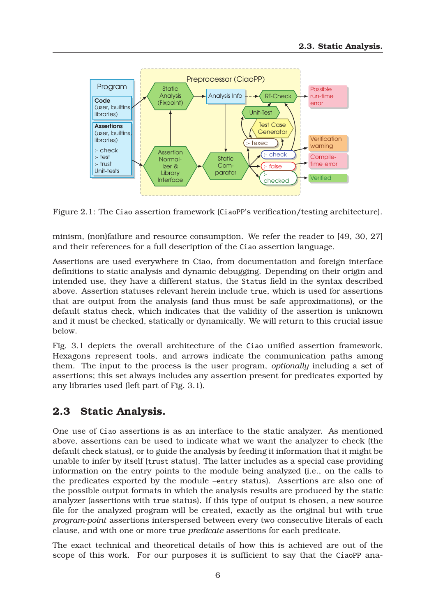

Figure 2.1: The Ciao assertion framework (CiaoPP's verification/testing architecture).

minism, (non)failure and resource consumption. We refer the reader to [49, 30, 27] and their references for a full description of the Ciao assertion language.

Assertions are used everywhere in Ciao, from documentation and foreign interface definitions to static analysis and dynamic debugging. Depending on their origin and intended use, they have a different status, the Status field in the syntax described above. Assertion statuses relevant herein include true, which is used for assertions that are output from the analysis (and thus must be safe approximations), or the default status check, which indicates that the validity of the assertion is unknown and it must be checked, statically or dynamically. We will return to this crucial issue below.

Fig. 3.1 depicts the overall architecture of the Ciao unified assertion framework. Hexagons represent tools, and arrows indicate the communication paths among them. The input to the process is the user program, *optionally* including a set of assertions; this set always includes any assertion present for predicates exported by any libraries used (left part of Fig. 3.1).

## **2.3 Static Analysis.**

One use of Ciao assertions is as an interface to the static analyzer. As mentioned above, assertions can be used to indicate what we want the analyzer to check (the default check status), or to guide the analysis by feeding it information that it might be unable to infer by itself (trust status). The latter includes as a special case providing information on the entry points to the module being analyzed (i.e., on the calls to the predicates exported by the module –entry status). Assertions are also one of the possible output formats in which the analysis results are produced by the static analyzer (assertions with true status). If this type of output is chosen, a new source file for the analyzed program will be created, exactly as the original but with true *program-point* assertions interspersed between every two consecutive literals of each clause, and with one or more true *predicate* assertions for each predicate.

The exact technical and theoretical details of how this is achieved are out of the scope of this work. For our purposes it is sufficient to say that the CiaoPP ana-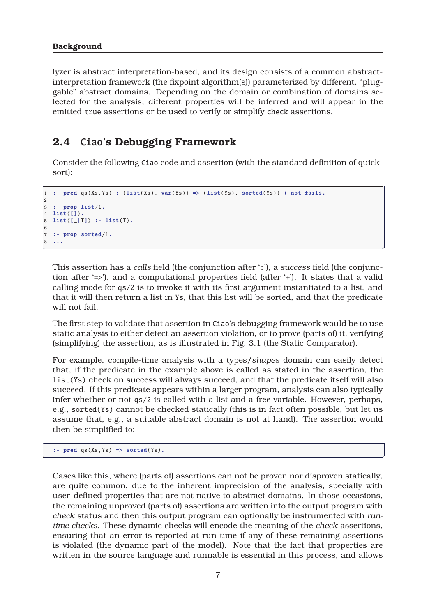#### **Background**

lyzer is abstract interpretation-based, and its design consists of a common abstractinterpretation framework (the fixpoint algorithm(s)) parameterized by different, "pluggable" abstract domains. Depending on the domain or combination of domains selected for the analysis, different properties will be inferred and will appear in the emitted true assertions or be used to verify or simplify check assertions.

### **2.4** Ciao**'s Debugging Framework**

Consider the following Ciao code and assertion (with the standard definition of quicksort):

```
✄
  : pred qs(Xs,Ys) : (list(Xs), var(Ys)) => (list(Ys), sorted(Ys)) + not_fails.
2
|3 :- prop list/1.
4 list([]).
5 \text{ list}([-|T]) :- list(T).6
7 :- prop sorted/1.
8 ...
```
This assertion has a *calls* field (the conjunction after ':'), a *success* field (the conjunction after '=>'), and a computational properties field (after '+'). It states that a valid calling mode for qs/2 is to invoke it with its first argument instantiated to a list, and that it will then return a list in Ys, that this list will be sorted, and that the predicate will not fail.

✂ ✁

The first step to validate that assertion in Ciao's debugging framework would be to use static analysis to either detect an assertion violation, or to prove (parts of) it, verifying (simplifying) the assertion, as is illustrated in Fig. 3.1 (the Static Comparator).

For example, compile-time analysis with a types/*shapes* domain can easily detect that, if the predicate in the example above is called as stated in the assertion, the list(Ys) check on success will always succeed, and that the predicate itself will also succeed. If this predicate appears within a larger program, analysis can also typically infer whether or not qs/2 is called with a list and a free variable. However, perhaps, e.g., sorted(Ys) cannot be checked statically (this is in fact often possible, but let us assume that, e.g., a suitable abstract domain is not at hand). The assertion would then be simplified to:

```
: pred qs(Xs,Ys) => sorted(Ys).
✂ ✁
```
✄

Cases like this, where (parts of) assertions can not be proven nor disproven statically, are quite common, due to the inherent imprecision of the analysis, specially with user-defined properties that are not native to abstract domains. In those occasions, the remaining unproved (parts of) assertions are written into the output program with *check* status and then this output program can optionally be instrumented with *runtime checks*. These dynamic checks will encode the meaning of the *check* assertions, ensuring that an error is reported at run-time if any of these remaining assertions is violated (the dynamic part of the model). Note that the fact that properties are written in the source language and runnable is essential in this process, and allows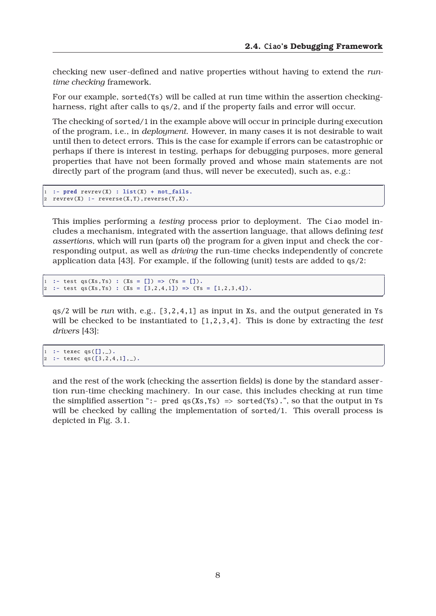checking new user-defined and native properties without having to extend the *runtime checking* framework.

For our example, sorted(Ys) will be called at run time within the assertion checkingharness, right after calls to qs/2, and if the property fails and error will occur.

The checking of sorted/1 in the example above will occur in principle during execution of the program, i.e., in *deployment*. However, in many cases it is not desirable to wait until then to detect errors. This is the case for example if errors can be catastrophic or perhaps if there is interest in testing, perhaps for debugging purposes, more general properties that have not been formally proved and whose main statements are not directly part of the program (and thus, will never be executed), such as, e.g.:

```
: pred revrev(X) : list(X) + not_fails.
revrev(X) :- reverse(X, Y), reverse(Y, X).
```
✄

✄

This implies performing a *testing* process prior to deployment. The Ciao model includes a mechanism, integrated with the assertion language, that allows defining *test assertions*, which will run (parts of) the program for a given input and check the corresponding output, as well as *driving* the run-time checks independently of concrete application data [43]. For example, if the following (unit) tests are added to qs/2:

✂ ✁

```
✄
  :- test qs(Xs,Ys) : (Xs = [] \Rightarrow (Ys = [].
  :- test qs(Xs,Ys) : (Xs = [3,2,4,1]) => (Ys = [1,2,3,4]).
```
qs/2 will be *run* with, e.g., [3,2,4,1] as input in Xs, and the output generated in Ys will be checked to be instantiated to [1,2,3,4]. This is done by extracting the *test drivers* [43]:

✂ ✁

```
: texec qs([], _{-}).
: texec qs([3,2,4,1],_).
```
and the rest of the work (checking the assertion fields) is done by the standard assertion run-time checking machinery. In our case, this includes checking at run time the simplified assertion ":- pred  $qs(Xs,Ys) \Rightarrow sorted(Ys)$ .", so that the output in Ys will be checked by calling the implementation of sorted/1. This overall process is depicted in Fig. 3.1.

<u></u>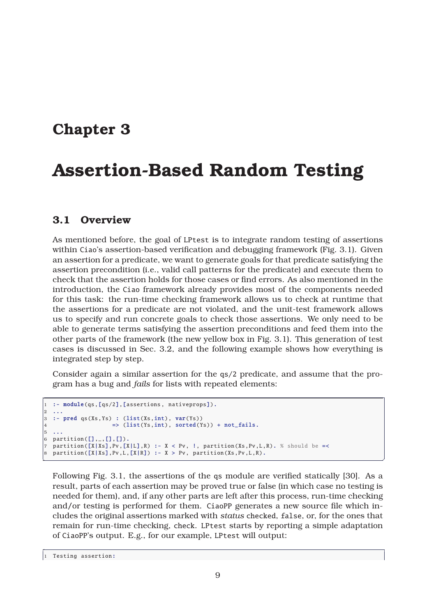## **Chapter 3**

# **Assertion-Based Random Testing**

### **3.1 Overview**

As mentioned before, the goal of LPtest is to integrate random testing of assertions within Ciao's assertion-based verification and debugging framework (Fig. 3.1). Given an assertion for a predicate, we want to generate goals for that predicate satisfying the assertion precondition (i.e., valid call patterns for the predicate) and execute them to check that the assertion holds for those cases or find errors. As also mentioned in the introduction, the Ciao framework already provides most of the components needed for this task: the run-time checking framework allows us to check at runtime that the assertions for a predicate are not violated, and the unit-test framework allows us to specify and run concrete goals to check those assertions. We only need to be able to generate terms satisfying the assertion preconditions and feed them into the other parts of the framework (the new yellow box in Fig. 3.1). This generation of test cases is discussed in Sec. 3.2, and the following example shows how everything is integrated step by step.

Consider again a similar assertion for the qs/2 predicate, and assume that the program has a bug and *fails* for lists with repeated elements:

```
:- module(qs,[qs/2],[assertions, nativeprops]).
2 ...
3 :- pred qs(Xs,Ys) : (list(Xs,int), var(Ys))<br>
4 => (list(Ys,int), sorted(Y<br>
5 ...
                       \Rightarrow (list(Ys, int), sorted(Ys)) + not_fails.
  5 ...
|_6 partition([1, 1, 1],[1).
   partition([X|Xs], Py, [X|L], R) := X \leq Py, I, partition(Xs, Py, L, R). % should be \preceqpartition([X|Xs],Pv,L,[X|R]) :- X > Pv, partition(Xs,Pv,L,R).
```
Following Fig. 3.1, the assertions of the qs module are verified statically [30]. As a result, parts of each assertion may be proved true or false (in which case no testing is needed for them), and, if any other parts are left after this process, run-time checking and/or testing is performed for them. CiaoPP generates a new source file which includes the original assertions marked with *status* checked, false, or, for the ones that remain for run-time checking, check. LPtest starts by reporting a simple adaptation of CiaoPP's output. E.g., for our example, LPtest will output:

✂ ✁

✄ 1 Testing assertion:

✄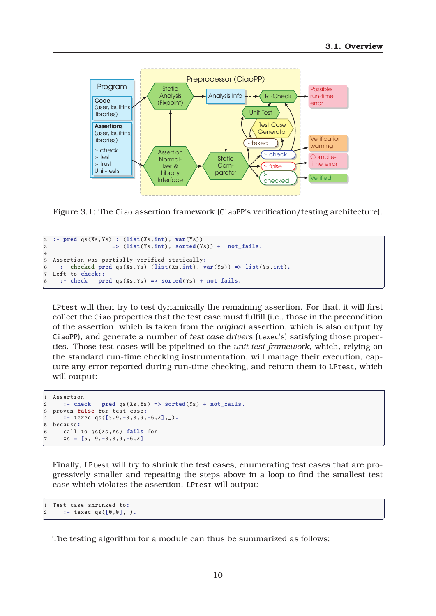

Figure 3.1: The Ciao assertion framework (CiaoPP's verification/testing architecture).

```
|2 :- pred qs(Xs,Ys) : (list(Xs,int), var(Ys))
\vert3 => (list(Ys,int), sorted(Ys)) + not_fails.
4
5 Assertion was partially verified statically:
6 :- checked pred qs(Xs,Ys) (list(Xs,int), var(Ys)) => list(Ys,int).
7 Left to check::
    : check pred qs(Xs,Ys) => sorted(Ys) + not_fails.
```
LPtest will then try to test dynamically the remaining assertion. For that, it will first collect the Ciao properties that the test case must fulfill (i.e., those in the precondition of the assertion, which is taken from the *original* assertion, which is also output by CiaoPP), and generate a number of *test case drivers* (texec's) satisfying those properties. Those test cases will be pipelined to the *unit-test framework*, which, relying on the standard run-time checking instrumentation, will manage their execution, capture any error reported during run-time checking, and return them to LPtest, which will output:

✂ ✁

```
1 Assertion
2 :- check pred qs(Xs,Ys) => sorted(Ys) + not_fails.<br>3 proven false for test case:
 proven false for test case:
4 :- texec qs([5,9,-3,8,9,-6,2],_).
5 because:
|_{6} call to as(Xs,Ys) fails for
    Xs = [5, 9, -3, 8, 9, -6, 2]✂ ✁
```
Finally, LPtest will try to shrink the test cases, enumerating test cases that are progressively smaller and repeating the steps above in a loop to find the smallest test case which violates the assertion. LPtest will output:

 $\overline{\mathcal{L}}$ 

```
Test case shrinked to:
   : texec qs([0,0], ).
```
✄

✄

The testing algorithm for a module can thus be summarized as follows: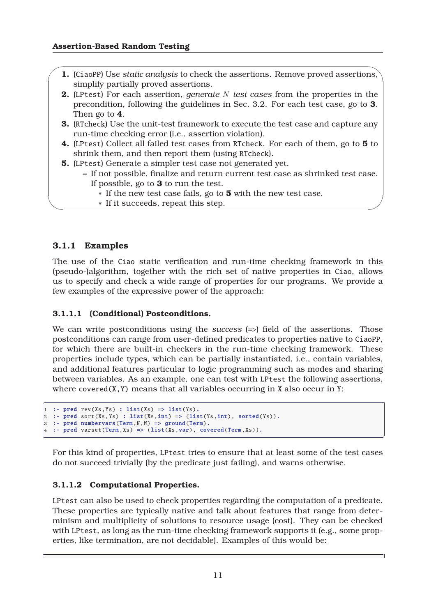- ✬ **1.** (CiaoPP) Use *static analysis* to check the assertions. Remove proved assertions, simplify partially proved assertions.
	- **2.** (LPtest) For each assertion, *generate* N *test cases* from the properties in the precondition, following the guidelines in Sec. 3.2. For each test case, go to **3**. Then go to **4**.
	- **3.** (RTcheck) Use the unit-test framework to execute the test case and capture any run-time checking error (i.e., assertion violation).
	- **4.** (LPtest) Collect all failed test cases from RTcheck. For each of them, go to **5** to shrink them, and then report them (using RTcheck).
	- **5.** (LPtest) Generate a simpler test case not generated yet.
		- **–** If not possible, finalize and return current test case as shrinked test case. If possible, go to **3** to run the test.
			- \* If the new test case fails, go to **5** with the new test case.
			- \* If it succeeds, repeat this step.

### **3.1.1 Examples**

✫

✄

The use of the Ciao static verification and run-time checking framework in this (pseudo-)algorithm, together with the rich set of native properties in Ciao, allows us to specify and check a wide range of properties for our programs. We provide a few examples of the expressive power of the approach:

#### **3.1.1.1 (Conditional) Postconditions.**

We can write postconditions using the *success* (=>) field of the assertions. Those postconditions can range from user-defined predicates to properties native to CiaoPP, for which there are built-in checkers in the run-time checking framework. These properties include types, which can be partially instantiated, i.e., contain variables, and additional features particular to logic programming such as modes and sharing between variables. As an example, one can test with LPtest the following assertions, where covered $(X, Y)$  means that all variables occurring in X also occur in Y:

```
✄
 : pred rev(Xs,Ys) : list(Xs) => list(Ys).
2 :- pred sort(Xs,Ys) : list(Xs,int) => (list(Ys,int), sorted(Ys)).
|3 :- pred numbervars(Term, N, M) => ground(Term).
4 :- pred varset(Term, Xs) => (list(Xs, var), covered(Term, Xs)).
✂ ✁
```
For this kind of properties, LPtest tries to ensure that at least some of the test cases do not succeed trivially (by the predicate just failing), and warns otherwise.

#### **3.1.1.2 Computational Properties.**

LPtest can also be used to check properties regarding the computation of a predicate. These properties are typically native and talk about features that range from determinism and multiplicity of solutions to resource usage (cost). They can be checked with LPtest, as long as the run-time checking framework supports it (e.g., some properties, like termination, are not decidable). Examples of this would be: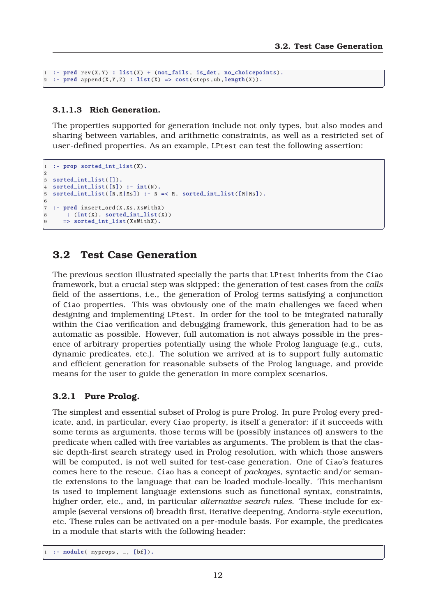```
1 :- pred rev(X,Y) : list(X) + (not_fails, is_det, no_choicepoints).
\vert_2 :- pred append(X,Y,Z) : list(X) => cost(steps,ub,length(X)).
✂ ✁
```
#### **3.1.1.3 Rich Generation.**

The properties supported for generation include not only types, but also modes and sharing between variables, and arithmetic constraints, as well as a restricted set of user-defined properties. As an example, LPtest can test the following assertion:

✂ ✁

```
l 1
  : prop sorted int list(X).
12
3 sorted_int_list([]).
4 sorted_int_list([N]) :- int(N).
5 sorted_int_list([N,M|Ms]) :- N =< M, sorted_int_list([M|Ms]).
\begin{array}{c} 6 \\ 7 \end{array}:- pred insert_ord(X,Xs,XsWithX)
|8 : (int(X), sorted_int_list(X))
      => sorted_int_list(XsWithX).
```
### **3.2 Test Case Generation**

The previous section illustrated specially the parts that LPtest inherits from the Ciao framework, but a crucial step was skipped: the generation of test cases from the *calls* field of the assertions, i.e., the generation of Prolog terms satisfying a conjunction of Ciao properties. This was obviously one of the main challenges we faced when designing and implementing LPtest. In order for the tool to be integrated naturally within the Ciao verification and debugging framework, this generation had to be as automatic as possible. However, full automation is not always possible in the presence of arbitrary properties potentially using the whole Prolog language (e.g., cuts, dynamic predicates, etc.). The solution we arrived at is to support fully automatic and efficient generation for reasonable subsets of the Prolog language, and provide means for the user to guide the generation in more complex scenarios.

#### **3.2.1 Pure Prolog.**

The simplest and essential subset of Prolog is pure Prolog. In pure Prolog every predicate, and, in particular, every Ciao property, is itself a generator: if it succeeds with some terms as arguments, those terms will be (possibly instances of) answers to the predicate when called with free variables as arguments. The problem is that the classic depth-first search strategy used in Prolog resolution, with which those answers will be computed, is not well suited for test-case generation. One of Ciao's features comes here to the rescue. Ciao has a concept of *packages*, syntactic and/or semantic extensions to the language that can be loaded module-locally. This mechanism is used to implement language extensions such as functional syntax, constraints, higher order, etc., and, in particular *alternative search rules*. These include for example (several versions of) breadth first, iterative deepening, Andorra-style execution, etc. These rules can be activated on a per-module basis. For example, the predicates in a module that starts with the following header:

```
: - module( myprops, _{-}, [bf]).
✂ ✁
```
✄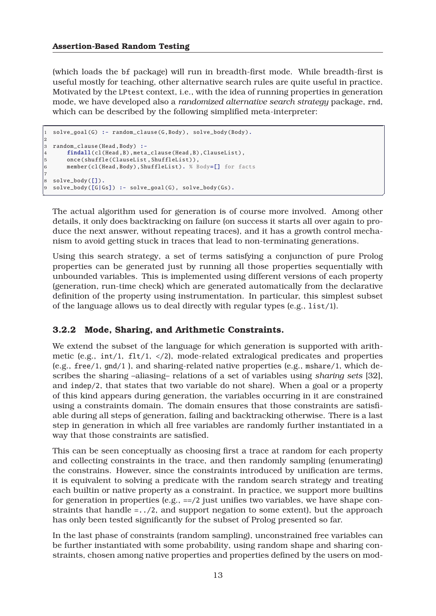✄

(which loads the bf package) will run in breadth-first mode. While breadth-first is useful mostly for teaching, other alternative search rules are quite useful in practice. Motivated by the LPtest context, i.e., with the idea of running properties in generation mode, we have developed also a *randomized alternative search strategy* package, rnd, which can be described by the following simplified meta-interpreter:

```
solve_goal(G) :- random_clause(G,Body), solve_body(Body).
\vert2
3 random_clause(Head,Body) :-<br>4 findall(cl(Head,B),meta<br>5 once(shuffle(ClauseList
       findall(cl(Head,B),meta_clause(Head,B),ClauseList),
5 once(shuffle(ClauseList,ShuffleList)),
       member(cl(Head.Body).ShuffleList). % Body=[] for facts
l7
|8 solve_body([]).
9 solve_body([G|Gs]) :- solve_goal(G), solve_body(Gs).
```
The actual algorithm used for generation is of course more involved. Among other details, it only does backtracking on failure (on success it starts all over again to produce the next answer, without repeating traces), and it has a growth control mechanism to avoid getting stuck in traces that lead to non-terminating generations.

✂ ✁

Using this search strategy, a set of terms satisfying a conjunction of pure Prolog properties can be generated just by running all those properties sequentially with unbounded variables. This is implemented using different versions of each property (generation, run-time check) which are generated automatically from the declarative definition of the property using instrumentation. In particular, this simplest subset of the language allows us to deal directly with regular types (e.g., list/1).

#### **3.2.2 Mode, Sharing, and Arithmetic Constraints.**

We extend the subset of the language for which generation is supported with arithmetic (e.g.,  $int/1$ ,  $flt/1$ ,  $\langle$ /2), mode-related extralogical predicates and properties (e.g., free/1, gnd/1 ), and sharing-related native properties (e.g., mshare/1, which describes the sharing –aliasing– relations of a set of variables using *sharing sets* [32], and indep/2, that states that two variable do not share). When a goal or a property of this kind appears during generation, the variables occurring in it are constrained using a constraints domain. The domain ensures that those constraints are satisfiable during all steps of generation, failing and backtracking otherwise. There is a last step in generation in which all free variables are randomly further instantiated in a way that those constraints are satisfied.

This can be seen conceptually as choosing first a trace at random for each property and collecting constraints in the trace, and then randomly sampling (enumerating) the constrains. However, since the constraints introduced by unification are terms, it is equivalent to solving a predicate with the random search strategy and treating each builtin or native property as a constraint. In practice, we support more builtins for generation in properties (e.g.,  $=$  /2 just unifies two variables, we have shape constraints that handle =../2, and support negation to some extent), but the approach has only been tested significantly for the subset of Prolog presented so far.

In the last phase of constraints (random sampling), unconstrained free variables can be further instantiated with some probability, using random shape and sharing constraints, chosen among native properties and properties defined by the users on mod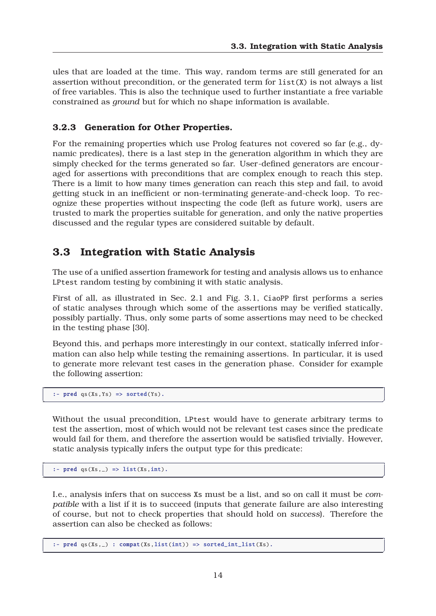ules that are loaded at the time. This way, random terms are still generated for an assertion without precondition, or the generated term for  $list(X)$  is not always a list of free variables. This is also the technique used to further instantiate a free variable constrained as *ground* but for which no shape information is available.

### **3.2.3 Generation for Other Properties.**

For the remaining properties which use Prolog features not covered so far (e.g., dynamic predicates), there is a last step in the generation algorithm in which they are simply checked for the terms generated so far. User-defined generators are encouraged for assertions with preconditions that are complex enough to reach this step. There is a limit to how many times generation can reach this step and fail, to avoid getting stuck in an inefficient or non-terminating generate-and-check loop. To recognize these properties without inspecting the code (left as future work), users are trusted to mark the properties suitable for generation, and only the native properties discussed and the regular types are considered suitable by default.

## **3.3 Integration with Static Analysis**

The use of a unified assertion framework for testing and analysis allows us to enhance LPtest random testing by combining it with static analysis.

First of all, as illustrated in Sec. 2.1 and Fig. 3.1, CiaoPP first performs a series of static analyses through which some of the assertions may be verified statically, possibly partially. Thus, only some parts of some assertions may need to be checked in the testing phase [30].

Beyond this, and perhaps more interestingly in our context, statically inferred information can also help while testing the remaining assertions. In particular, it is used to generate more relevant test cases in the generation phase. Consider for example the following assertion:

 $:$  pred qs(Xs,Ys) => sorted(Ys). ✂ ✁

✄

✄

✄

Without the usual precondition, LPtest would have to generate arbitrary terms to test the assertion, most of which would not be relevant test cases since the predicate would fail for them, and therefore the assertion would be satisfied trivially. However, static analysis typically infers the output type for this predicate:

:-  $pred qs(Xs, ...) \Rightarrow list(Xs, int)$ .  $\overline{\mathcal{L}}$ 

I.e., analysis infers that on success Xs must be a list, and so on call it must be *compatible* with a list if it is to succeed (inputs that generate failure are also interesting of course, but not to check properties that should hold on *success*). Therefore the assertion can also be checked as follows:

:-  $pred$   $qs(Xs, _{\_})$  :  $compact(Xs, list(int)) \Rightarrow sorted(int_list(Xs).$ 

✂ ✁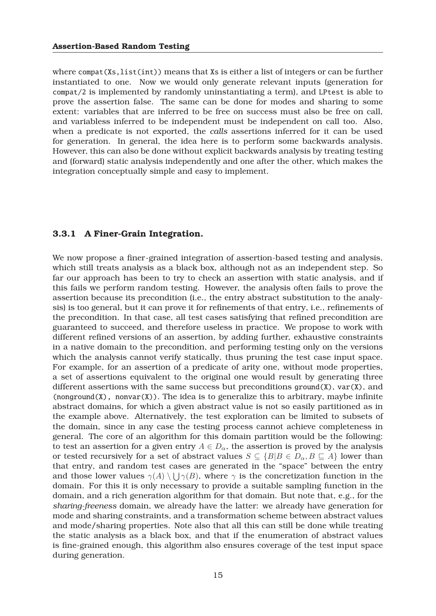where compat(Xs,list(int)) means that Xs is either a list of integers or can be further instantiated to one. Now we would only generate relevant inputs (generation for compat/2 is implemented by randomly uninstantiating a term), and LPtest is able to prove the assertion false. The same can be done for modes and sharing to some extent: variables that are inferred to be free on success must also be free on call, and variabless inferred to be independent must be independent on call too. Also, when a predicate is not exported, the *calls* assertions inferred for it can be used for generation. In general, the idea here is to perform some backwards analysis. However, this can also be done without explicit backwards analysis by treating testing and (forward) static analysis independently and one after the other, which makes the integration conceptually simple and easy to implement.

#### **3.3.1 A Finer-Grain Integration.**

We now propose a finer-grained integration of assertion-based testing and analysis, which still treats analysis as a black box, although not as an independent step. So far our approach has been to try to check an assertion with static analysis, and if this fails we perform random testing. However, the analysis often fails to prove the assertion because its precondition (i.e., the entry abstract substitution to the analysis) is too general, but it can prove it for refinements of that entry, i.e., refinements of the precondition. In that case, all test cases satisfying that refined precondition are guaranteed to succeed, and therefore useless in practice. We propose to work with different refined versions of an assertion, by adding further, exhaustive constraints in a native domain to the precondition, and performing testing only on the versions which the analysis cannot verify statically, thus pruning the test case input space. For example, for an assertion of a predicate of arity one, without mode properties, a set of assertions equivalent to the original one would result by generating three different assertions with the same success but preconditions  $ground(X)$ ,  $var(X)$ , and (nonground $(X)$ , nonvar $(X)$ ). The idea is to generalize this to arbitrary, maybe infinite abstract domains, for which a given abstract value is not so easily partitioned as in the example above. Alternatively, the test exploration can be limited to subsets of the domain, since in any case the testing process cannot achieve completeness in general. The core of an algorithm for this domain partition would be the following: to test an assertion for a given entry  $A \in D_{\alpha}$ , the assertion is proved by the analysis or tested recursively for a set of abstract values  $S \subseteq \{B | B \in D_{\alpha}, B \subseteq A\}$  lower than that entry, and random test cases are generated in the "space" between the entry and those lower values  $\gamma(A) \setminus \bigcup \gamma(B)$ , where  $\gamma$  is the concretization function in the domain. For this it is only necessary to provide a suitable sampling function in the domain, and a rich generation algorithm for that domain. But note that, e.g., for the *sharing-freeness* domain, we already have the latter: we already have generation for mode and sharing constraints, and a transformation scheme between abstract values and mode/sharing properties. Note also that all this can still be done while treating the static analysis as a black box, and that if the enumeration of abstract values is fine-grained enough, this algorithm also ensures coverage of the test input space during generation.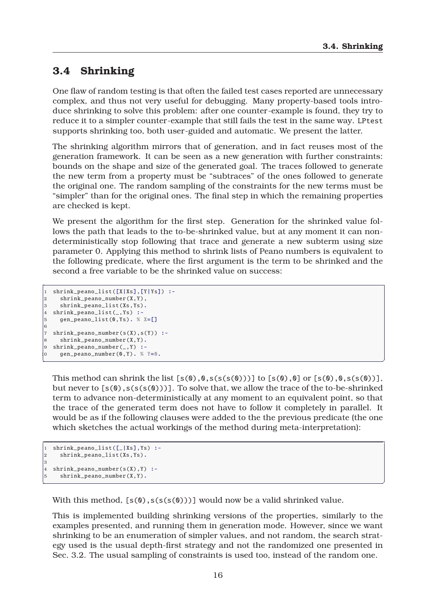## **3.4 Shrinking**

One flaw of random testing is that often the failed test cases reported are unnecessary complex, and thus not very useful for debugging. Many property-based tools introduce shrinking to solve this problem: after one counter-example is found, they try to reduce it to a simpler counter-example that still fails the test in the same way. LPtest supports shrinking too, both user-guided and automatic. We present the latter.

The shrinking algorithm mirrors that of generation, and in fact reuses most of the generation framework. It can be seen as a new generation with further constraints: bounds on the shape and size of the generated goal. The traces followed to generate the new term from a property must be "subtraces" of the ones followed to generate the original one. The random sampling of the constraints for the new terms must be "simpler" than for the original ones. The final step in which the remaining properties are checked is kept.

We present the algorithm for the first step. Generation for the shrinked value follows the path that leads to the to-be-shrinked value, but at any moment it can nondeterministically stop following that trace and generate a new subterm using size parameter 0. Applying this method to shrink lists of Peano numbers is equivalent to the following predicate, where the first argument is the term to be shrinked and the second a free variable to be the shrinked value on success:

```
shrink_peano_list([X|Xs],[Y|Ys]) :-
2 shrink_peano_number(X,Y),
3 shrink_peano_list(Xs,Ys).
4 shrink_peano_list(_,Ys) :-<br>5 qen peano list(0.Ys). %
   gen\_peano\_list(0,Ys). % X=[]6
7 shrink_peano_number(s(X),s(Y)) :-
|8 shrink_peano_number(X,Y).
9 shrink_peano_number(_,Y) :-
   gen_peano_number(0,Y). % Y=0.
✂ ✁
```
✄

✄

This method can shrink the list  $[s(0), 0, s(s(s(0)))]$  to  $[s(0), 0]$  or  $[s(0), 0, s(s(0))]$ , but never to  $[s(0),s(s(s(0)))]$ . To solve that, we allow the trace of the to-be-shrinked term to advance non-deterministically at any moment to an equivalent point, so that the trace of the generated term does not have to follow it completely in parallel. It would be as if the following clauses were added to the the previous predicate (the one which sketches the actual workings of the method during meta-interpretation):

```
shrink peano list(\lceil |Xs].Ys) :-
2 shrink_peano_list(Xs,Ys).
3
4 shrink_peano_number(s(X),Y) :-
    shrink_peano_number(X,Y).
```
With this method,  $[s(0), s(s(s(0)))]$  would now be a valid shrinked value.

This is implemented building shrinking versions of the properties, similarly to the examples presented, and running them in generation mode. However, since we want shrinking to be an enumeration of simpler values, and not random, the search strategy used is the usual depth-first strategy and not the randomized one presented in Sec. 3.2. The usual sampling of constraints is used too, instead of the random one.

✂ ✁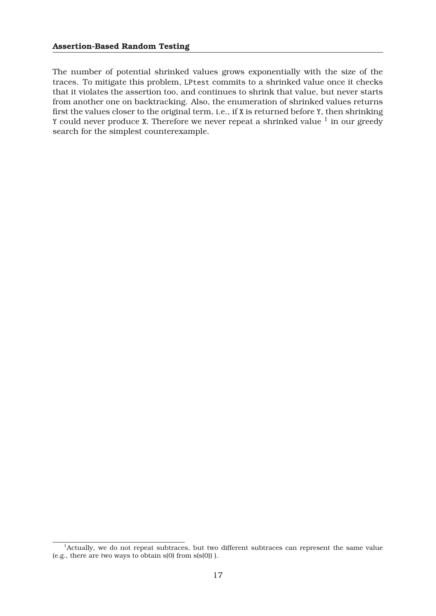The number of potential shrinked values grows exponentially with the size of the traces. To mitigate this problem, LPtest commits to a shrinked value once it checks that it violates the assertion too, and continues to shrink that value, but never starts from another one on backtracking. Also, the enumeration of shrinked values returns first the values closer to the original term, i.e., if X is returned before Y, then shrinking Y could never produce X. Therefore we never repeat a shrinked value  $^1$  in our greedy search for the simplest counterexample.

<sup>&</sup>lt;sup>1</sup> Actually, we do not repeat subtraces, but two different subtraces can represent the same value (e.g., there are two ways to obtain s(0) from s(s(0)) ).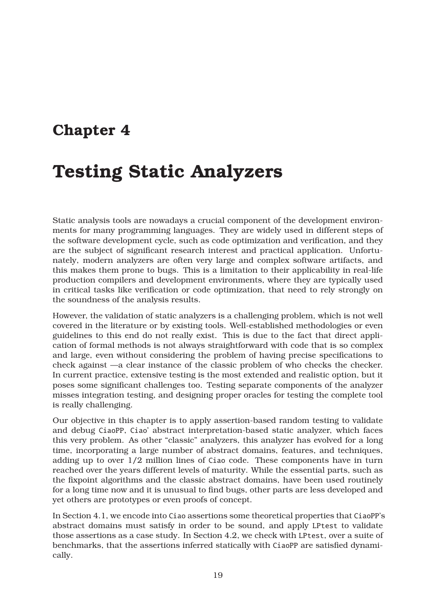## **Chapter 4**

# **Testing Static Analyzers**

Static analysis tools are nowadays a crucial component of the development environments for many programming languages. They are widely used in different steps of the software development cycle, such as code optimization and verification, and they are the subject of significant research interest and practical application. Unfortunately, modern analyzers are often very large and complex software artifacts, and this makes them prone to bugs. This is a limitation to their applicability in real-life production compilers and development environments, where they are typically used in critical tasks like verification or code optimization, that need to rely strongly on the soundness of the analysis results.

However, the validation of static analyzers is a challenging problem, which is not well covered in the literature or by existing tools. Well-established methodologies or even guidelines to this end do not really exist. This is due to the fact that direct application of formal methods is not always straightforward with code that is so complex and large, even without considering the problem of having precise specifications to check against —a clear instance of the classic problem of who checks the checker. In current practice, extensive testing is the most extended and realistic option, but it poses some significant challenges too. Testing separate components of the analyzer misses integration testing, and designing proper oracles for testing the complete tool is really challenging.

Our objective in this chapter is to apply assertion-based random testing to validate and debug CiaoPP, Ciao' abstract interpretation-based static analyzer, which faces this very problem. As other "classic" analyzers, this analyzer has evolved for a long time, incorporating a large number of abstract domains, features, and techniques, adding up to over 1/2 million lines of Ciao code. These components have in turn reached over the years different levels of maturity. While the essential parts, such as the fixpoint algorithms and the classic abstract domains, have been used routinely for a long time now and it is unusual to find bugs, other parts are less developed and yet others are prototypes or even proofs of concept.

In Section 4.1, we encode into Ciao assertions some theoretical properties that CiaoPP's abstract domains must satisfy in order to be sound, and apply LPtest to validate those assertions as a case study. In Section 4.2, we check with LPtest, over a suite of benchmarks, that the assertions inferred statically with CiaoPP are satisfied dynamically.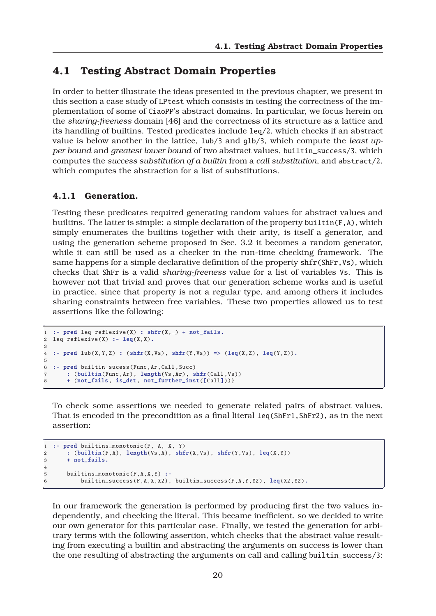#### **4.1 Testing Abstract Domain Properties**

In order to better illustrate the ideas presented in the previous chapter, we present in this section a case study of LPtest which consists in testing the correctness of the implementation of some of CiaoPP's abstract domains. In particular, we focus herein on the *sharing-freeness* domain [46] and the correctness of its structure as a lattice and its handling of builtins. Tested predicates include leq/2, which checks if an abstract value is below another in the lattice, lub/3 and glb/3, which compute the *least upper bound* and *greatest lower bound* of two abstract values, builtin\_success/3, which computes the *success substitution of a builtin* from a *call substitution*, and abstract/2, which computes the abstraction for a list of substitutions.

#### **4.1.1 Generation.**

✄

✄

Testing these predicates required generating random values for abstract values and builtins. The latter is simple: a simple declaration of the property builtin(F,A), which simply enumerates the builtins together with their arity, is itself a generator, and using the generation scheme proposed in Sec. 3.2 it becomes a random generator, while it can still be used as a checker in the run-time checking framework. The same happens for a simple declarative definition of the property shfr(ShFr,Vs), which checks that ShFr is a valid *sharing-freeness* value for a list of variables Vs. This is however not that trivial and proves that our generation scheme works and is useful in practice, since that property is not a regular type, and among others it includes sharing constraints between free variables. These two properties allowed us to test assertions like the following:

```
: pred leq_reflexive(X) : shfr(X,_) + not_fails.
2 \text{ leg\_reflexive(X)} := \text{leg}(X,X).3
4 :- pred lub(X,Y,Z) : (shfr(X,Vs), shfr(Y,Vs)) => (leq(X,Z), leq(Y,Z)).
5
\begin{bmatrix} 6 & : - \end{bmatrix} pred builtin_sucess(Func,Ar,Call,Succ)<br>7 (builtin(Func.Ar). length(Vs.Ar). s
       7 : (builtin(Func,Ar), length(Vs,Ar), shfr(Call,Vs))
       8 + (not_fails , is_det , not_further_inst([Call]))}
\overline{\mathcal{L}}
```
To check some assertions we needed to generate related pairs of abstract values. That is encoded in the precondition as a final literal leq(ShFr1,ShFr2), as in the next assertion:

```
:- pred builtins_monotonic(F, A, X, Y)
2 : (builtin(F,A), length(Vs,A), shfr(X,Vs), shfr(Y,Vs), leq(X,Y))<br>3 + not_fails.
      + not_fails.
4
5 builtins_monotonic(F,A,X,Y) :-
           builtin_success(F,A,X,X2), builtin_success(F,A,Y,Y2), leq(X2,Y2).
```
In our framework the generation is performed by producing first the two values independently, and checking the literal. This became inefficient, so we decided to write our own generator for this particular case. Finally, we tested the generation for arbitrary terms with the following assertion, which checks that the abstract value resulting from executing a builtin and abstracting the arguments on success is lower than the one resulting of abstracting the arguments on call and calling builtin\_success/3:

✂ ✁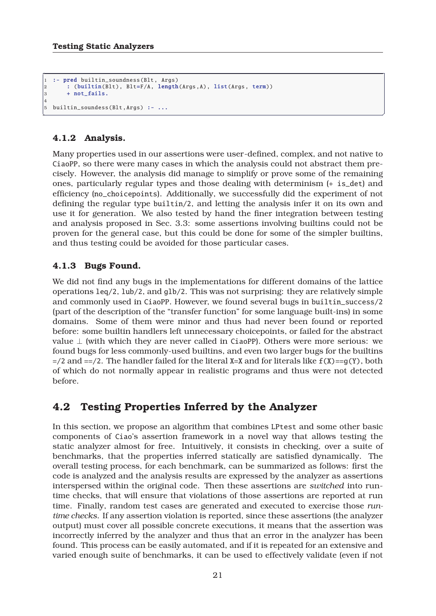```
✄
1 :- pred builtin_soundness(Blt, Args)<br>2 : (builtin(Blt), Blt=F/A, length<br>3 + not_fails.
         2 : (builtin(Blt), Blt=F/A, length(Args,A), list(Args, term))
         + not_fails.
4
5 builtin_soundess(Blt,Args) :- ...
```
### **4.1.2 Analysis.**

Many properties used in our assertions were user-defined, complex, and not native to CiaoPP, so there were many cases in which the analysis could not abstract them precisely. However, the analysis did manage to simplify or prove some of the remaining ones, particularly regular types and those dealing with determinism (+ is\_det) and efficiency (no\_choicepoints). Additionally, we successfully did the experiment of not defining the regular type builtin/2, and letting the analysis infer it on its own and use it for generation. We also tested by hand the finer integration between testing and analysis proposed in Sec. 3.3: some assertions involving builtins could not be proven for the general case, but this could be done for some of the simpler builtins, and thus testing could be avoided for those particular cases.

✂ ✁

### **4.1.3 Bugs Found.**

We did not find any bugs in the implementations for different domains of the lattice operations leq/2, lub/2, and glb/2. This was not surprising: they are relatively simple and commonly used in CiaoPP. However, we found several bugs in builtin\_success/2 (part of the description of the "transfer function" for some language built-ins) in some domains. Some of them were minor and thus had never been found or reported before: some builtin handlers left unnecessary choicepoints, or failed for the abstract value ⊥ (with which they are never called in CiaoPP). Others were more serious: we found bugs for less commonly-used builtins, and even two larger bugs for the builtins  $=$ /2 and  $=$ /2. The handler failed for the literal X=X and for literals like  $f(X) = g(Y)$ , both of which do not normally appear in realistic programs and thus were not detected before.

## **4.2 Testing Properties Inferred by the Analyzer**

In this section, we propose an algorithm that combines LPtest and some other basic components of Ciao's assertion framework in a novel way that allows testing the static analyzer almost for free. Intuitively, it consists in checking, over a suite of benchmarks, that the properties inferred statically are satisfied dynamically. The overall testing process, for each benchmark, can be summarized as follows: first the code is analyzed and the analysis results are expressed by the analyzer as assertions interspersed within the original code. Then these assertions are *switched* into runtime checks, that will ensure that violations of those assertions are reported at run time. Finally, random test cases are generated and executed to exercise those *runtime checks*. If any assertion violation is reported, since these assertions (the analyzer output) must cover all possible concrete executions, it means that the assertion was incorrectly inferred by the analyzer and thus that an error in the analyzer has been found. This process can be easily automated, and if it is repeated for an extensive and varied enough suite of benchmarks, it can be used to effectively validate (even if not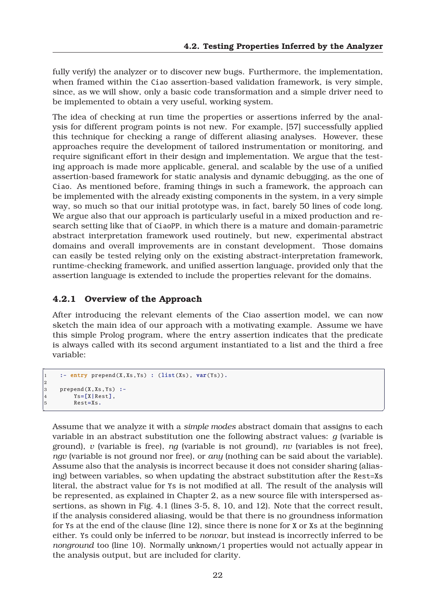fully verify) the analyzer or to discover new bugs. Furthermore, the implementation, when framed within the Ciao assertion-based validation framework, is very simple, since, as we will show, only a basic code transformation and a simple driver need to be implemented to obtain a very useful, working system.

The idea of checking at run time the properties or assertions inferred by the analysis for different program points is not new. For example, [57] successfully applied this technique for checking a range of different aliasing analyses. However, these approaches require the development of tailored instrumentation or monitoring, and require significant effort in their design and implementation. We argue that the testing approach is made more applicable, general, and scalable by the use of a unified assertion-based framework for static analysis and dynamic debugging, as the one of Ciao. As mentioned before, framing things in such a framework, the approach can be implemented with the already existing components in the system, in a very simple way, so much so that our initial prototype was, in fact, barely 50 lines of code long. We argue also that our approach is particularly useful in a mixed production and research setting like that of CiaoPP, in which there is a mature and domain-parametric abstract interpretation framework used routinely, but new, experimental abstract domains and overall improvements are in constant development. Those domains can easily be tested relying only on the existing abstract-interpretation framework, runtime-checking framework, and unified assertion language, provided only that the assertion language is extended to include the properties relevant for the domains.

#### **4.2.1 Overview of the Approach**

✄

 $\left| \begin{smallmatrix} 2 \ 3 \end{smallmatrix} \right|$ 

After introducing the relevant elements of the Ciao assertion model, we can now sketch the main idea of our approach with a motivating example. Assume we have this simple Prolog program, where the entry assertion indicates that the predicate is always called with its second argument instantiated to a list and the third a free variable:

✂ ✁

```
:- entry prepend(X,Xs,Ys) : (list(Xs), var(Ys)).
3 prepend(X, Xs, Ys) :-<br>4 Ys=[X|Rest],Ys=[X|Rest],
          Rest = Xs.
```
Assume that we analyze it with a *simple modes* abstract domain that assigns to each variable in an abstract substitution one the following abstract values: *g* (variable is ground), *v* (variable is free), *ng* (variable is not ground), *nv* (variables is not free), *ngv* (variable is not ground nor free), or *any* (nothing can be said about the variable). Assume also that the analysis is incorrect because it does not consider sharing (aliasing) between variables, so when updating the abstract substitution after the Rest=Xs literal, the abstract value for Ys is not modified at all. The result of the analysis will be represented, as explained in Chapter 2, as a new source file with interspersed assertions, as shown in Fig. 4.1 (lines 3-5, 8, 10, and 12). Note that the correct result, if the analysis considered aliasing, would be that there is no groundness information for Ys at the end of the clause (line 12), since there is none for X or Xs at the beginning either. Ys could only be inferred to be *nonvar*, but instead is incorrectly inferred to be *nonground* too (line 10). Normally unknown/1 properties would not actually appear in the analysis output, but are included for clarity.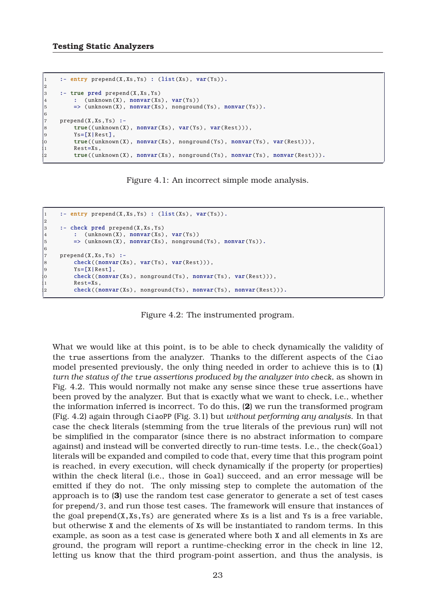✄

```
✄
          : entry prepend(X,Xs,Ys) : (list(Xs), var(Ys)).
\vert_{2}:- true pred prepend(X,Xs,Ys)
                   : (unknown(X), nonvar(Xs), var(Ys))
                   \Rightarrow (unknown(X), nonvar(Xs), nonground(Ys), nonvar(Ys)).
\begin{array}{c|c}\n3 & 4 \\
4 & 5 \\
6\n\end{array}\begin{vmatrix} 7 & \text{prepend}(X,Xs,Ys) & \text{: -}\\ 8 & \text{true((unknown(X))} \end{vmatrix}true((unknown(X), nonvar(Xs), var(Ys), var(Rest))),
\left|9\right\rangle \left|9\right\rangle \left|9\right\rangle \left|9\right\rangle \left|9\right\rangle \left|9\right\rangle \left|9\right\rangle \left|9\right\rangle \left|9\right\rangle \left|9\right\rangle \left|9\right\rangle \left|9\right\rangle \left|9\right\rangle \left|9\right\rangle \left|9\right\rangle \left|9\right\rangle \left|9\right\rangle \left|9\right\rangle \left|9\right\rangle \left|9\right\rangle 10 true((unknown(X), nonvar(Xs), nonground(Ys), nonvar(Ys), var(Rest))),
                   Rest = Xs.
                   12 true((unknown(X), nonvar(Xs), nonground(Ys), nonvar(Ys), nonvar(Rest))).
```
Figure 4.1: An incorrect simple mode analysis.

✂ ✁

```
: entry prepend(X,Xs,Ys) : (list(Xs), var(Ys)).
\vert2
3 :- check pred prepend(X,Xs,Ys)<br>4 : (unknown(X), nonvar(Xs)<br>5 :> (unknown(X), nonvar(Xs)
        : (unknown(X), nonvar(Xs), var(Ys))
        \Rightarrow (unknown(X), nonvar(Xs), nonground(Ys), nonvar(Ys)).
\left.\right|_7^67 prepend(X,Xs,Ys) :-<br>8 check((nonvar(X
        check((nonvar(Xs), var(Ys), var(Rest))),
9 Ys=[X|Rest],
10 check((nonvar(Xs), nonground(Ys), nonvar(Ys), var(Rest))),
        Rest = Xs,
        check((nonvar(Xs), nonground(Ys), nonvar(Ys), nonvar(Rest))).
\overline{\mathcal{L}}
```
Figure 4.2: The instrumented program.

What we would like at this point, is to be able to check dynamically the validity of the true assertions from the analyzer. Thanks to the different aspects of the Ciao model presented previously, the only thing needed in order to achieve this is to (**1**) *turn the status of the* true *assertions produced by the analyzer into* check, as shown in Fig. 4.2. This would normally not make any sense since these true assertions have been proved by the analyzer. But that is exactly what we want to check, i.e., whether the information inferred is incorrect. To do this, (**2**) we run the transformed program (Fig. 4.2) again through CiaoPP (Fig. 3.1) but *without performing any analysis*. In that case the check literals (stemming from the true literals of the previous run) will not be simplified in the comparator (since there is no abstract information to compare against) and instead will be converted directly to run-time tests. I.e., the check(Goal) literals will be expanded and compiled to code that, every time that this program point is reached, in every execution, will check dynamically if the property (or properties) within the check literal (i.e., those in Goal) succeed, and an error message will be emitted if they do not. The only missing step to complete the automation of the approach is to (**3**) use the random test case generator to generate a set of test cases for prepend/3, and run those test cases. The framework will ensure that instances of the goal  $prepend(X,Xs,Ys)$  are generated where Xs is a list and Ys is a free variable, but otherwise X and the elements of Xs will be instantiated to random terms. In this example, as soon as a test case is generated where both X and all elements in Xs are ground, the program will report a runtime-checking error in the check in line 12, letting us know that the third program-point assertion, and thus the analysis, is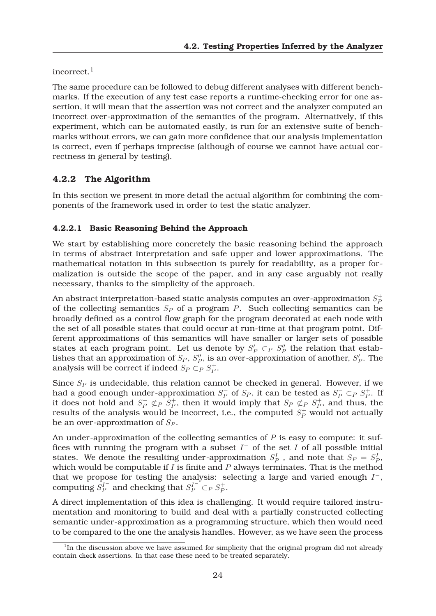incorrect.<sup>1</sup>

The same procedure can be followed to debug different analyses with different benchmarks. If the execution of any test case reports a runtime-checking error for one assertion, it will mean that the assertion was not correct and the analyzer computed an incorrect over-approximation of the semantics of the program. Alternatively, if this experiment, which can be automated easily, is run for an extensive suite of benchmarks without errors, we can gain more confidence that our analysis implementation is correct, even if perhaps imprecise (although of course we cannot have actual correctness in general by testing).

### **4.2.2 The Algorithm**

In this section we present in more detail the actual algorithm for combining the components of the framework used in order to test the static analyzer.

#### **4.2.2.1 Basic Reasoning Behind the Approach**

We start by establishing more concretely the basic reasoning behind the approach in terms of abstract interpretation and safe upper and lower approximations. The mathematical notation in this subsection is purely for readability, as a proper formalization is outside the scope of the paper, and in any case arguably not really necessary, thanks to the simplicity of the approach.

An abstract interpretation-based static analysis computes an over-approximation  $S^{\pm}_{P}$ of the collecting semantics  $S_P$  of a program P. Such collecting semantics can be broadly defined as a control flow graph for the program decorated at each node with the set of all possible states that could occur at run-time at that program point. Different approximations of this semantics will have smaller or larger sets of possible states at each program point. Let us denote by  $S'_P \subset_P S''_P$  the relation that establishes that an approximation of  $S_P$ ,  $S_P''$ , is an over-approximation of another,  $S_P'$ . The analysis will be correct if indeed  $S_P \subset_P S_P^+$ .

Since  $S_P$  is undecidable, this relation cannot be checked in general. However, if we had a good enough under-approximation  $S_P^-$  of  $S_P$ , it can be tested as  $S_P^- \subset_P S_P^+$ . If it does not hold and  $S_P^-\not\subset_P S_P^+$ , then it would imply that  $S_P\not\subset_P S_P^+$ , and thus, the results of the analysis would be incorrect, i.e., the computed  $S_P^+$  would not actually be an over-approximation of  $S_P$ .

An under-approximation of the collecting semantics of  $P$  is easy to compute: it suffices with running the program with a subset  $I^-$  of the set I of all possible initial states. We denote the resulting under-approximation  $S_P^{I^-}$ , and note that  $S_P = S_P^I$ , which would be computable if  $I$  is finite and  $P$  always terminates. That is the method that we propose for testing the analysis: selecting a large and varied enough  $I^-$ , computing  $S_P^{I^-}$  and checking that  $S_P^{I^-} \subset_P S_P^+$ .

A direct implementation of this idea is challenging. It would require tailored instrumentation and monitoring to build and deal with a partially constructed collecting semantic under-approximation as a programming structure, which then would need to be compared to the one the analysis handles. However, as we have seen the process

 $1$ In the discussion above we have assumed for simplicity that the original program did not already contain check assertions. In that case these need to be treated separately.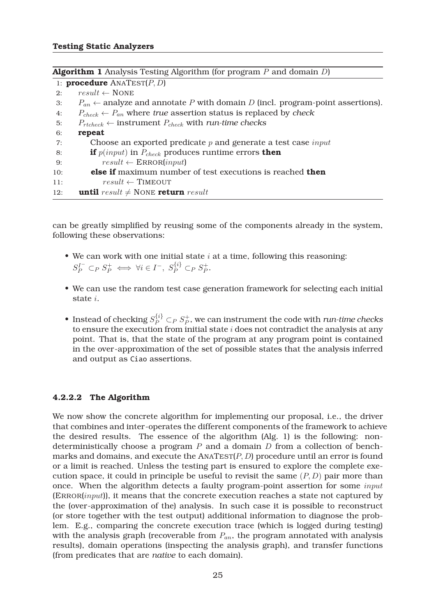| <b>Algorithm 1</b> Analysis Testing Algorithm (for program $P$ and domain $D$ ) |                                                                                            |  |  |  |
|---------------------------------------------------------------------------------|--------------------------------------------------------------------------------------------|--|--|--|
|                                                                                 | 1: <b>procedure</b> $\text{ANATEST}(P, D)$                                                 |  |  |  |
| 2:                                                                              | $result \leftarrow \text{None}$                                                            |  |  |  |
| 3:                                                                              | $P_{an} \leftarrow$ analyze and annotate P with domain D (incl. program-point assertions). |  |  |  |
| 4:                                                                              | $P_{check} \leftarrow P_{an}$ where true assertion status is replaced by check             |  |  |  |
| 5:                                                                              | $P_{rteheck} \leftarrow$ instrument $P_{check}$ with run-time checks                       |  |  |  |
| 6:                                                                              | repeat                                                                                     |  |  |  |
| 7:                                                                              | Choose an exported predicate $p$ and generate a test case $input$                          |  |  |  |
| 8:                                                                              | <b>if</b> $p(input)$ in $P_{check}$ produces runtime errors <b>then</b>                    |  |  |  |
| 9:                                                                              | $result \leftarrow \text{EROR}(input)$                                                     |  |  |  |
| 10:                                                                             | <b>else if</b> maximum number of test executions is reached <b>then</b>                    |  |  |  |
| 11:                                                                             | $result \leftarrow TIMEOUT$                                                                |  |  |  |
| 12:                                                                             | <b>until</b> $result \neq \text{None}$ <b>return</b> result                                |  |  |  |
|                                                                                 |                                                                                            |  |  |  |

**Algorithm 1** Analysis Testing Algorithm (for program P and domain D)

can be greatly simplified by reusing some of the components already in the system, following these observations:

- We can work with one initial state  $i$  at a time, following this reasoning:  $S_P^{I^-} \subset_P S_P^+ \iff \forall i \in I^-$ ,  $S_P^{\{i\}} \subset_P S_P^+$ .
- We can use the random test case generation framework for selecting each initial state i.
- Instead of checking  $S_P^{\{i\}} \subset_P S_P^+$ , we can instrument the code with *run-time checks* to ensure the execution from initial state  $i$  does not contradict the analysis at any point. That is, that the state of the program at any program point is contained in the over-approximation of the set of possible states that the analysis inferred and output as Ciao assertions.

#### **4.2.2.2 The Algorithm**

We now show the concrete algorithm for implementing our proposal, i.e., the driver that combines and inter-operates the different components of the framework to achieve the desired results. The essence of the algorithm (Alg. 1) is the following: nondeterministically choose a program  $P$  and a domain  $D$  from a collection of benchmarks and domains, and execute the  $ANATERST(P, D)$  procedure until an error is found or a limit is reached. Unless the testing part is ensured to explore the complete execution space, it could in principle be useful to revisit the same  $(P, D)$  pair more than once. When the algorithm detects a faulty program-point assertion for some input (ERROR(input)), it means that the concrete execution reaches a state not captured by the (over-approximation of the) analysis. In such case it is possible to reconstruct (or store together with the test output) additional information to diagnose the problem. E.g., comparing the concrete execution trace (which is logged during testing) with the analysis graph (recoverable from  $P_{an}$ , the program annotated with analysis results), domain operations (inspecting the analysis graph), and transfer functions (from predicates that are *native* to each domain).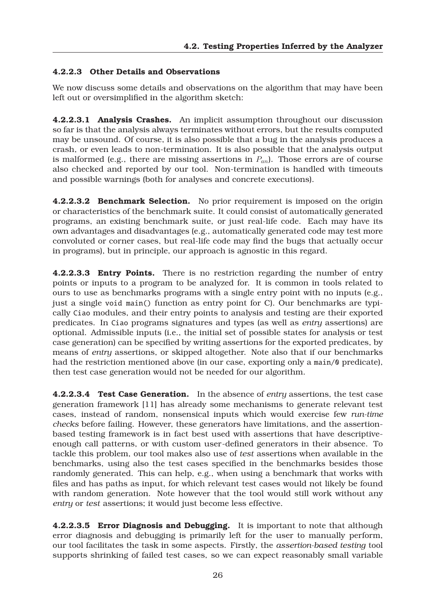#### **4.2.2.3 Other Details and Observations**

We now discuss some details and observations on the algorithm that may have been left out or oversimplified in the algorithm sketch:

**4.2.2.3.1 Analysis Crashes.** An implicit assumption throughout our discussion so far is that the analysis always terminates without errors, but the results computed may be unsound. Of course, it is also possible that a bug in the analysis produces a crash, or even leads to non-termination. It is also possible that the analysis output is malformed (e.g., there are missing assertions in  $P_{an}$ ). Those errors are of course also checked and reported by our tool. Non-termination is handled with timeouts and possible warnings (both for analyses and concrete executions).

**4.2.2.3.2 Benchmark Selection.** No prior requirement is imposed on the origin or characteristics of the benchmark suite. It could consist of automatically generated programs, an existing benchmark suite, or just real-life code. Each may have its own advantages and disadvantages (e.g., automatically generated code may test more convoluted or corner cases, but real-life code may find the bugs that actually occur in programs), but in principle, our approach is agnostic in this regard.

**4.2.2.3.3 Entry Points.** There is no restriction regarding the number of entry points or inputs to a program to be analyzed for. It is common in tools related to ours to use as benchmarks programs with a single entry point with no inputs (e.g., just a single void main() function as entry point for C). Our benchmarks are typically Ciao modules, and their entry points to analysis and testing are their exported predicates. In Ciao programs signatures and types (as well as *entry* assertions) are optional. Admissible inputs (i.e., the initial set of possible states for analysis or test case generation) can be specified by writing assertions for the exported predicates, by means of *entry* assertions, or skipped altogether. Note also that if our benchmarks had the restriction mentioned above (in our case, exporting only a main/0 predicate), then test case generation would not be needed for our algorithm.

**4.2.2.3.4 Test Case Generation.** In the absence of *entry* assertions, the test case generation framework [11] has already some mechanisms to generate relevant test cases, instead of random, nonsensical inputs which would exercise few *run-time checks* before failing. However, these generators have limitations, and the assertionbased testing framework is in fact best used with assertions that have descriptiveenough call patterns, or with custom user-defined generators in their absence. To tackle this problem, our tool makes also use of *test* assertions when available in the benchmarks, using also the test cases specified in the benchmarks besides those randomly generated. This can help, e.g., when using a benchmark that works with files and has paths as input, for which relevant test cases would not likely be found with random generation. Note however that the tool would still work without any *entry* or *test* assertions; it would just become less effective.

**4.2.2.3.5 Error Diagnosis and Debugging.** It is important to note that although error diagnosis and debugging is primarily left for the user to manually perform, our tool facilitates the task in some aspects. Firstly, the *assertion-based testing* tool supports shrinking of failed test cases, so we can expect reasonably small variable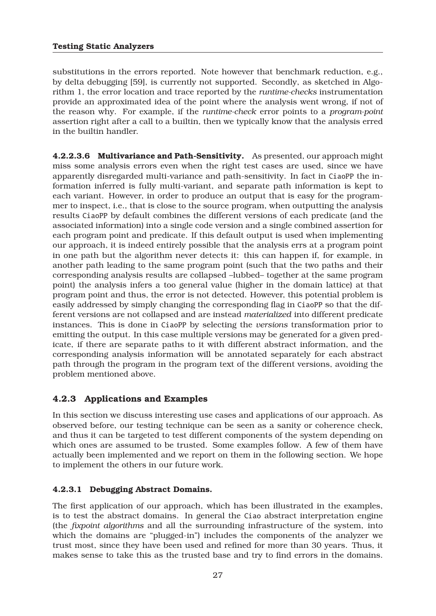substitutions in the errors reported. Note however that benchmark reduction, e.g., by delta debugging [59], is currently not supported. Secondly, as sketched in Algorithm 1, the error location and trace reported by the *runtime-checks* instrumentation provide an approximated idea of the point where the analysis went wrong, if not of the reason why. For example, if the *runtime-check* error points to a *program-point* assertion right after a call to a builtin, then we typically know that the analysis erred in the builtin handler.

**4.2.2.3.6 Multivariance and Path-Sensitivity.** As presented, our approach might miss some analysis errors even when the right test cases are used, since we have apparently disregarded multi-variance and path-sensitivity. In fact in CiaoPP the information inferred is fully multi-variant, and separate path information is kept to each variant. However, in order to produce an output that is easy for the programmer to inspect, i.e., that is close to the source program, when outputting the analysis results CiaoPP by default combines the different versions of each predicate (and the associated information) into a single code version and a single combined assertion for each program point and predicate. If this default output is used when implementing our approach, it is indeed entirely possible that the analysis errs at a program point in one path but the algorithm never detects it: this can happen if, for example, in another path leading to the same program point (such that the two paths and their corresponding analysis results are collapsed –lubbed– together at the same program point) the analysis infers a too general value (higher in the domain lattice) at that program point and thus, the error is not detected. However, this potential problem is easily addressed by simply changing the corresponding flag in CiaoPP so that the different versions are not collapsed and are instead *materialized* into different predicate instances. This is done in CiaoPP by selecting the *versions* transformation prior to emitting the output. In this case multiple versions may be generated for a given predicate, if there are separate paths to it with different abstract information, and the corresponding analysis information will be annotated separately for each abstract path through the program in the program text of the different versions, avoiding the problem mentioned above.

### **4.2.3 Applications and Examples**

In this section we discuss interesting use cases and applications of our approach. As observed before, our testing technique can be seen as a sanity or coherence check, and thus it can be targeted to test different components of the system depending on which ones are assumed to be trusted. Some examples follow. A few of them have actually been implemented and we report on them in the following section. We hope to implement the others in our future work.

#### **4.2.3.1 Debugging Abstract Domains.**

The first application of our approach, which has been illustrated in the examples, is to test the abstract domains. In general the Ciao abstract interpretation engine (the *fixpoint algorithms* and all the surrounding infrastructure of the system, into which the domains are "plugged-in") includes the components of the analyzer we trust most, since they have been used and refined for more than 30 years. Thus, it makes sense to take this as the trusted base and try to find errors in the domains.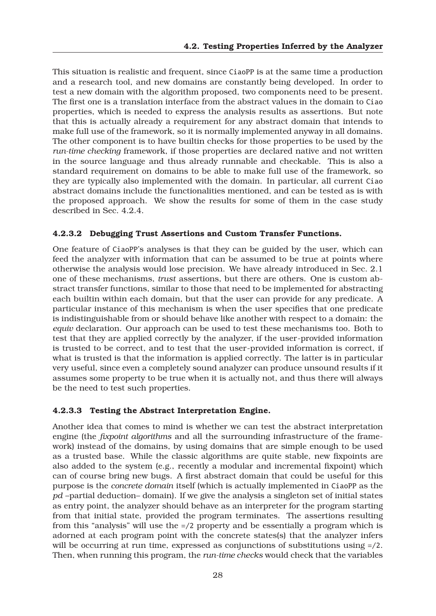This situation is realistic and frequent, since CiaoPP is at the same time a production and a research tool, and new domains are constantly being developed. In order to test a new domain with the algorithm proposed, two components need to be present. The first one is a translation interface from the abstract values in the domain to Ciao properties, which is needed to express the analysis results as assertions. But note that this is actually already a requirement for any abstract domain that intends to make full use of the framework, so it is normally implemented anyway in all domains. The other component is to have builtin checks for those properties to be used by the *run-time checking* framework, if those properties are declared native and not written in the source language and thus already runnable and checkable. This is also a standard requirement on domains to be able to make full use of the framework, so they are typically also implemented with the domain. In particular, all current Ciao abstract domains include the functionalities mentioned, and can be tested as is with the proposed approach. We show the results for some of them in the case study described in Sec. 4.2.4.

#### **4.2.3.2 Debugging Trust Assertions and Custom Transfer Functions.**

One feature of CiaoPP's analyses is that they can be guided by the user, which can feed the analyzer with information that can be assumed to be true at points where otherwise the analysis would lose precision. We have already introduced in Sec. 2.1 one of these mechanisms, *trust* assertions, but there are others. One is custom abstract transfer functions, similar to those that need to be implemented for abstracting each builtin within each domain, but that the user can provide for any predicate. A particular instance of this mechanism is when the user specifies that one predicate is indistinguishable from or should behave like another with respect to a domain: the *equiv* declaration. Our approach can be used to test these mechanisms too. Both to test that they are applied correctly by the analyzer, if the user-provided information is trusted to be correct, and to test that the user-provided information is correct, if what is trusted is that the information is applied correctly. The latter is in particular very useful, since even a completely sound analyzer can produce unsound results if it assumes some property to be true when it is actually not, and thus there will always be the need to test such properties.

#### **4.2.3.3 Testing the Abstract Interpretation Engine.**

Another idea that comes to mind is whether we can test the abstract interpretation engine (the *fixpoint algorithms* and all the surrounding infrastructure of the framework) instead of the domains, by using domains that are simple enough to be used as a trusted base. While the classic algorithms are quite stable, new fixpoints are also added to the system (e.g., recently a modular and incremental fixpoint) which can of course bring new bugs. A first abstract domain that could be useful for this purpose is the *concrete domain* itself (which is actually implemented in CiaoPP as the *pd* –partial deduction– domain). If we give the analysis a singleton set of initial states as entry point, the analyzer should behave as an interpreter for the program starting from that initial state, provided the program terminates. The assertions resulting from this "analysis" will use the =/2 property and be essentially a program which is adorned at each program point with the concrete states(s) that the analyzer infers will be occurring at run time, expressed as conjunctions of substitutions using  $=$ /2. Then, when running this program, the *run-time checks* would check that the variables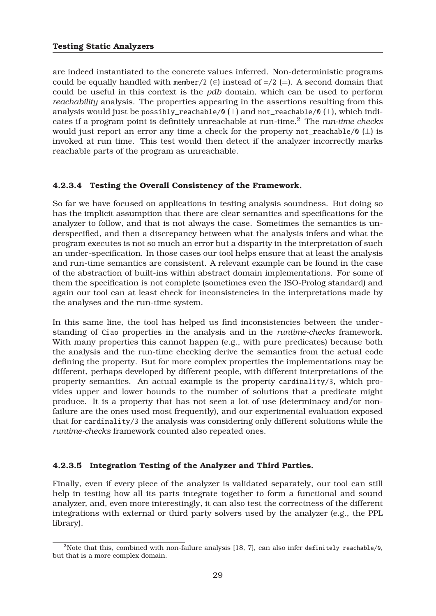are indeed instantiated to the concrete values inferred. Non-deterministic programs could be equally handled with member/2 ( $\in$ ) instead of =/2 (=). A second domain that could be useful in this context is the *pdb* domain, which can be used to perform *reachability* analysis. The properties appearing in the assertions resulting from this analysis would just be possibly\_reachable/ $\emptyset$  ( $\top$ ) and not\_reachable/ $\emptyset$  ( $\bot$ ), which indicates if a program point is definitely unreachable at run-time.2 The *run-time checks* would just report an error any time a check for the property not\_reachable/ $\emptyset$  ( $\bot$ ) is invoked at run time. This test would then detect if the analyzer incorrectly marks reachable parts of the program as unreachable.

#### **4.2.3.4 Testing the Overall Consistency of the Framework.**

So far we have focused on applications in testing analysis soundness. But doing so has the implicit assumption that there are clear semantics and specifications for the analyzer to follow, and that is not always the case. Sometimes the semantics is underspecified, and then a discrepancy between what the analysis infers and what the program executes is not so much an error but a disparity in the interpretation of such an under-specification. In those cases our tool helps ensure that at least the analysis and run-time semantics are consistent. A relevant example can be found in the case of the abstraction of built-ins within abstract domain implementations. For some of them the specification is not complete (sometimes even the ISO-Prolog standard) and again our tool can at least check for inconsistencies in the interpretations made by the analyses and the run-time system.

In this same line, the tool has helped us find inconsistencies between the understanding of Ciao properties in the analysis and in the *runtime-checks* framework. With many properties this cannot happen (e.g., with pure predicates) because both the analysis and the run-time checking derive the semantics from the actual code defining the property. But for more complex properties the implementations may be different, perhaps developed by different people, with different interpretations of the property semantics. An actual example is the property cardinality/3, which provides upper and lower bounds to the number of solutions that a predicate might produce. It is a property that has not seen a lot of use (determinacy and/or nonfailure are the ones used most frequently), and our experimental evaluation exposed that for cardinality/3 the analysis was considering only different solutions while the *runtime-checks* framework counted also repeated ones.

#### **4.2.3.5 Integration Testing of the Analyzer and Third Parties.**

Finally, even if every piece of the analyzer is validated separately, our tool can still help in testing how all its parts integrate together to form a functional and sound analyzer, and, even more interestingly, it can also test the correctness of the different integrations with external or third party solvers used by the analyzer (e.g., the PPL library).

<sup>&</sup>lt;sup>2</sup>Note that this, combined with non-failure analysis [18, 7], can also infer definitely\_reachable/0, but that is a more complex domain.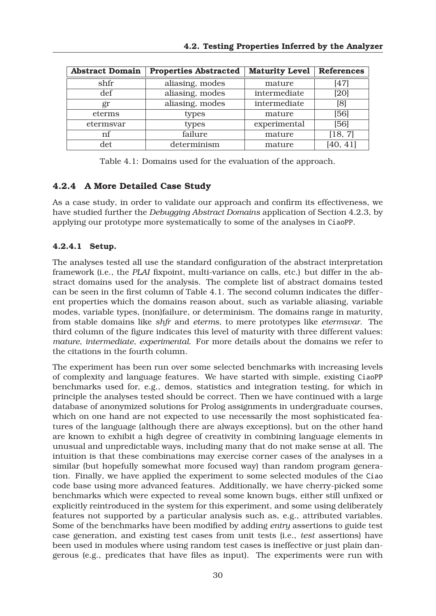| <b>Abstract Domain</b> | <b>Properties Abstracted</b> | Maturity Level | <b>References</b> |
|------------------------|------------------------------|----------------|-------------------|
| shfr                   | aliasing, modes              | mature         | $[47]$            |
| def                    | aliasing, modes              | intermediate   | [20]              |
| gr                     | aliasing, modes              | intermediate   | [8]               |
| eterms                 | types                        | mature         | [56]              |
| etermsvar              | types                        | experimental   | [56]              |
| nf                     | failure                      | mature         | [18, 7]           |
| det.                   | determinism                  | mature         | [40, 41]          |

Table 4.1: Domains used for the evaluation of the approach.

#### **4.2.4 A More Detailed Case Study**

As a case study, in order to validate our approach and confirm its effectiveness, we have studied further the *Debugging Abstract Domains* application of Section 4.2.3, by applying our prototype more systematically to some of the analyses in CiaoPP.

#### **4.2.4.1 Setup.**

The analyses tested all use the standard configuration of the abstract interpretation framework (i.e., the *PLAI* fixpoint, multi-variance on calls, etc.) but differ in the abstract domains used for the analysis. The complete list of abstract domains tested can be seen in the first column of Table 4.1. The second column indicates the different properties which the domains reason about, such as variable aliasing, variable modes, variable types, (non)failure, or determinism. The domains range in maturity, from stable domains like *shfr* and *eterms*, to mere prototypes like *etermsvar*. The third column of the figure indicates this level of maturity with three different values: *mature*, *intermediate*, *experimental*. For more details about the domains we refer to the citations in the fourth column.

The experiment has been run over some selected benchmarks with increasing levels of complexity and language features. We have started with simple, existing CiaoPP benchmarks used for, e.g., demos, statistics and integration testing, for which in principle the analyses tested should be correct. Then we have continued with a large database of anonymized solutions for Prolog assignments in undergraduate courses, which on one hand are not expected to use necessarily the most sophisticated features of the language (although there are always exceptions), but on the other hand are known to exhibit a high degree of creativity in combining language elements in unusual and unpredictable ways, including many that do not make sense at all. The intuition is that these combinations may exercise corner cases of the analyses in a similar (but hopefully somewhat more focused way) than random program generation. Finally, we have applied the experiment to some selected modules of the Ciao code base using more advanced features. Additionally, we have cherry-picked some benchmarks which were expected to reveal some known bugs, either still unfixed or explicitly reintroduced in the system for this experiment, and some using deliberately features not supported by a particular analysis such as, e.g., attributed variables. Some of the benchmarks have been modified by adding *entry* assertions to guide test case generation, and existing test cases from unit tests (i.e., *test* assertions) have been used in modules where using random test cases is ineffective or just plain dangerous (e.g., predicates that have files as input). The experiments were run with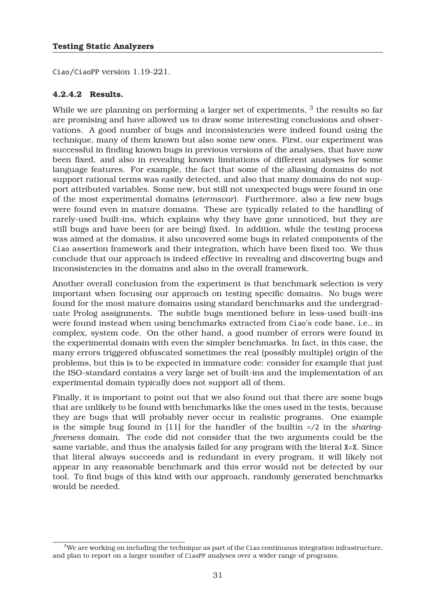Ciao/CiaoPP version 1.19-221.

#### **4.2.4.2 Results.**

While we are planning on performing a larger set of experiments,  $3$  the results so far are promising and have allowed us to draw some interesting conclusions and observations. A good number of bugs and inconsistencies were indeed found using the technique, many of them known but also some new ones. First, our experiment was successful in finding known bugs in previous versions of the analyses, that have now been fixed, and also in revealing known limitations of different analyses for some language features. For example, the fact that some of the aliasing domains do not support rational terms was easily detected, and also that many domains do not support attributed variables. Some new, but still not unexpected bugs were found in one of the most experimental domains (*etermsvar*). Furthermore, also a few new bugs were found even in mature domains. These are typically related to the handling of rarely-used built-ins, which explains why they have gone unnoticed, but they are still bugs and have been (or are being) fixed. In addition, while the testing process was aimed at the domains, it also uncovered some bugs in related components of the Ciao assertion framework and their integration, which have been fixed too. We thus conclude that our approach is indeed effective in revealing and discovering bugs and inconsistencies in the domains and also in the overall framework.

Another overall conclusion from the experiment is that benchmark selection is very important when focusing our approach on testing specific domains. No bugs were found for the most mature domains using standard benchmarks and the undergraduate Prolog assignments. The subtle bugs mentioned before in less-used built-ins were found instead when using benchmarks extracted from Ciao's code base, i.e., in complex, system code. On the other hand, a good number of errors were found in the experimental domain with even the simpler benchmarks. In fact, in this case, the many errors triggered obfuscated sometimes the real (possibly multiple) origin of the problems, but this is to be expected in immature code: consider for example that just the ISO-standard contains a very large set of built-ins and the implementation of an experimental domain typically does not support all of them.

Finally, it is important to point out that we also found out that there are some bugs that are unlikely to be found with benchmarks like the ones used in the tests, because they are bugs that will probably never occur in realistic programs. One example is the simple bug found in [11] for the handler of the builtin =/2 in the *sharingfreeness* domain. The code did not consider that the two arguments could be the same variable, and thus the analysis failed for any program with the literal X=X. Since that literal always succeeds and is redundant in every program, it will likely not appear in any reasonable benchmark and this error would not be detected by our tool. To find bugs of this kind with our approach, randomly generated benchmarks would be needed.

<sup>&</sup>lt;sup>3</sup>We are working on including the technique as part of the Ciao continuous integration infrastructure, and plan to report on a larger number of CiaoPP analyses over a wider range of programs.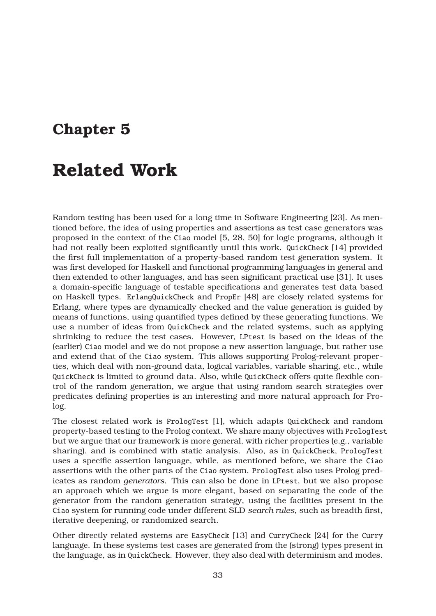## **Chapter 5**

## **Related Work**

Random testing has been used for a long time in Software Engineering [23]. As mentioned before, the idea of using properties and assertions as test case generators was proposed in the context of the Ciao model [5, 28, 50] for logic programs, although it had not really been exploited significantly until this work. QuickCheck [14] provided the first full implementation of a property-based random test generation system. It was first developed for Haskell and functional programming languages in general and then extended to other languages, and has seen significant practical use [31]. It uses a domain-specific language of testable specifications and generates test data based on Haskell types. ErlangQuickCheck and PropEr [48] are closely related systems for Erlang, where types are dynamically checked and the value generation is guided by means of functions, using quantified types defined by these generating functions. We use a number of ideas from QuickCheck and the related systems, such as applying shrinking to reduce the test cases. However, LPtest is based on the ideas of the (earlier) Ciao model and we do not propose a new assertion language, but rather use and extend that of the Ciao system. This allows supporting Prolog-relevant properties, which deal with non-ground data, logical variables, variable sharing, etc., while QuickCheck is limited to ground data. Also, while QuickCheck offers quite flexible control of the random generation, we argue that using random search strategies over predicates defining properties is an interesting and more natural approach for Prolog.

The closest related work is PrologTest [1], which adapts QuickCheck and random property-based testing to the Prolog context. We share many objectives with PrologTest but we argue that our framework is more general, with richer properties (e.g., variable sharing), and is combined with static analysis. Also, as in QuickCheck, PrologTest uses a specific assertion language, while, as mentioned before, we share the Ciao assertions with the other parts of the Ciao system. PrologTest also uses Prolog predicates as random *generators*. This can also be done in LPtest, but we also propose an approach which we argue is more elegant, based on separating the code of the generator from the random generation strategy, using the facilities present in the Ciao system for running code under different SLD *search rules*, such as breadth first, iterative deepening, or randomized search.

Other directly related systems are EasyCheck [13] and CurryCheck [24] for the Curry language. In these systems test cases are generated from the (strong) types present in the language, as in QuickCheck. However, they also deal with determinism and modes.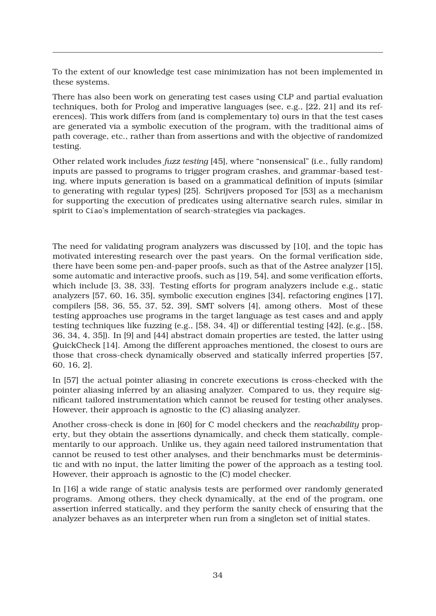To the extent of our knowledge test case minimization has not been implemented in these systems.

There has also been work on generating test cases using CLP and partial evaluation techniques, both for Prolog and imperative languages (see, e.g., [22, 21] and its references). This work differs from (and is complementary to) ours in that the test cases are generated via a symbolic execution of the program, with the traditional aims of path coverage, etc., rather than from assertions and with the objective of randomized testing.

Other related work includes *fuzz testing* [45], where "nonsensical" (i.e., fully random) inputs are passed to programs to trigger program crashes, and grammar-based testing, where inputs generation is based on a grammatical definition of inputs (similar to generating with regular types) [25]. Schrijvers proposed Tor [53] as a mechanism for supporting the execution of predicates using alternative search rules, similar in spirit to Ciao's implementation of search-strategies via packages.

The need for validating program analyzers was discussed by [10], and the topic has motivated interesting research over the past years. On the formal verification side, there have been some pen-and-paper proofs, such as that of the Astree analyzer [15], some automatic and interactive proofs, such as [19, 54], and some verification efforts, which include [3, 38, 33]. Testing efforts for program analyzers include e.g., static analyzers [57, 60, 16, 35], symbolic execution engines [34], refactoring engines [17], compilers [58, 36, 55, 37, 52, 39], SMT solvers [4], among others. Most of these testing approaches use programs in the target language as test cases and and apply testing techniques like fuzzing (e.g., [58, 34, 4]) or differential testing [42], (e.g., [58, 36, 34, 4, 35]). In [9] and [44] abstract domain properties are tested, the latter using QuickCheck [14]. Among the different approaches mentioned, the closest to ours are those that cross-check dynamically observed and statically inferred properties [57, 60, 16, 2].

In [57] the actual pointer aliasing in concrete executions is cross-checked with the pointer aliasing inferred by an aliasing analyzer. Compared to us, they require significant tailored instrumentation which cannot be reused for testing other analyses. However, their approach is agnostic to the (C) aliasing analyzer.

Another cross-check is done in [60] for C model checkers and the *reachability* property, but they obtain the assertions dynamically, and check them statically, complementarily to our approach. Unlike us, they again need tailored instrumentation that cannot be reused to test other analyses, and their benchmarks must be deterministic and with no input, the latter limiting the power of the approach as a testing tool. However, their approach is agnostic to the (C) model checker.

In [16] a wide range of static analysis tests are performed over randomly generated programs. Among others, they check dynamically, at the end of the program, one assertion inferred statically, and they perform the sanity check of ensuring that the analyzer behaves as an interpreter when run from a singleton set of initial states.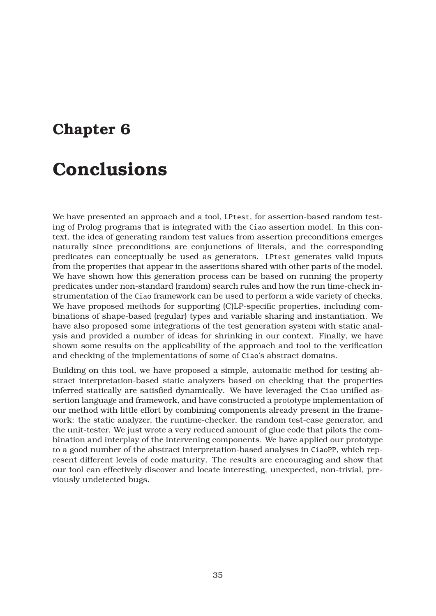## **Chapter 6**

## **Conclusions**

We have presented an approach and a tool, LPtest, for assertion-based random testing of Prolog programs that is integrated with the Ciao assertion model. In this context, the idea of generating random test values from assertion preconditions emerges naturally since preconditions are conjunctions of literals, and the corresponding predicates can conceptually be used as generators. LPtest generates valid inputs from the properties that appear in the assertions shared with other parts of the model. We have shown how this generation process can be based on running the property predicates under non-standard (random) search rules and how the run time-check instrumentation of the Ciao framework can be used to perform a wide variety of checks. We have proposed methods for supporting (C)LP-specific properties, including combinations of shape-based (regular) types and variable sharing and instantiation. We have also proposed some integrations of the test generation system with static analysis and provided a number of ideas for shrinking in our context. Finally, we have shown some results on the applicability of the approach and tool to the verification and checking of the implementations of some of Ciao's abstract domains.

Building on this tool, we have proposed a simple, automatic method for testing abstract interpretation-based static analyzers based on checking that the properties inferred statically are satisfied dynamically. We have leveraged the Ciao unified assertion language and framework, and have constructed a prototype implementation of our method with little effort by combining components already present in the framework: the static analyzer, the runtime-checker, the random test-case generator, and the unit-tester. We just wrote a very reduced amount of glue code that pilots the combination and interplay of the intervening components. We have applied our prototype to a good number of the abstract interpretation-based analyses in CiaoPP, which represent different levels of code maturity. The results are encouraging and show that our tool can effectively discover and locate interesting, unexpected, non-trivial, previously undetected bugs.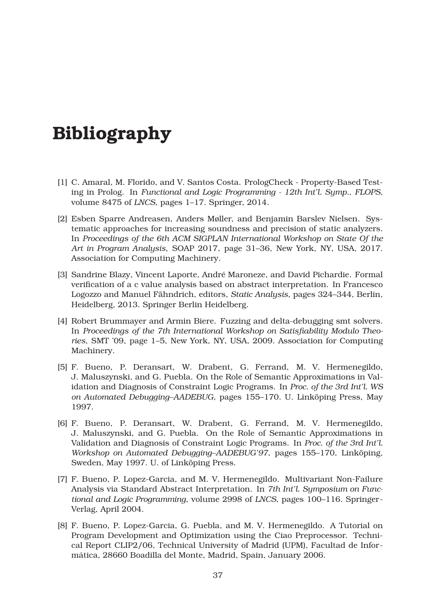# **Bibliography**

- [1] C. Amaral, M. Florido, and V. Santos Costa. PrologCheck Property-Based Testing in Prolog. In *Functional and Logic Programming - 12th Int'l. Symp., FLOPS*, volume 8475 of *LNCS*, pages 1–17. Springer, 2014.
- [2] Esben Sparre Andreasen, Anders Møller, and Benjamin Barslev Nielsen. Systematic approaches for increasing soundness and precision of static analyzers. In *Proceedings of the 6th ACM SIGPLAN International Workshop on State Of the Art in Program Analysis*, SOAP 2017, page 31–36, New York, NY, USA, 2017. Association for Computing Machinery.
- [3] Sandrine Blazy, Vincent Laporte, André Maroneze, and David Pichardie. Formal verification of a c value analysis based on abstract interpretation. In Francesco Logozzo and Manuel Fähndrich, editors, *Static Analysis*, pages 324–344, Berlin, Heidelberg, 2013. Springer Berlin Heidelberg.
- [4] Robert Brummayer and Armin Biere. Fuzzing and delta-debugging smt solvers. In *Proceedings of the 7th International Workshop on Satisfiability Modulo Theories*, SMT '09, page 1–5, New York, NY, USA, 2009. Association for Computing Machinery.
- [5] F. Bueno, P. Deransart, W. Drabent, G. Ferrand, M. V. Hermenegildo, J. Maluszynski, and G. Puebla. On the Role of Semantic Approximations in Validation and Diagnosis of Constraint Logic Programs. In *Proc. of the 3rd Int'l. WS on Automated Debugging–AADEBUG*, pages 155–170. U. Linköping Press, May 1997.
- [6] F. Bueno, P. Deransart, W. Drabent, G. Ferrand, M. V. Hermenegildo, J. Maluszynski, and G. Puebla. On the Role of Semantic Approximations in Validation and Diagnosis of Constraint Logic Programs. In *Proc. of the 3rd Int'l. Workshop on Automated Debugging–AADEBUG'97*, pages 155–170, Linköping, Sweden, May 1997. U. of Linköping Press.
- [7] F. Bueno, P. Lopez-Garcia, and M. V. Hermenegildo. Multivariant Non-Failure Analysis via Standard Abstract Interpretation. In *7th Int'l. Symposium on Functional and Logic Programming*, volume 2998 of *LNCS*, pages 100–116. Springer-Verlag, April 2004.
- [8] F. Bueno, P. Lopez-Garcia, G. Puebla, and M. V. Hermenegildo. A Tutorial on Program Development and Optimization using the Ciao Preprocessor. Technical Report CLIP2/06, Technical University of Madrid (UPM), Facultad de Informática, 28660 Boadilla del Monte, Madrid, Spain, January 2006.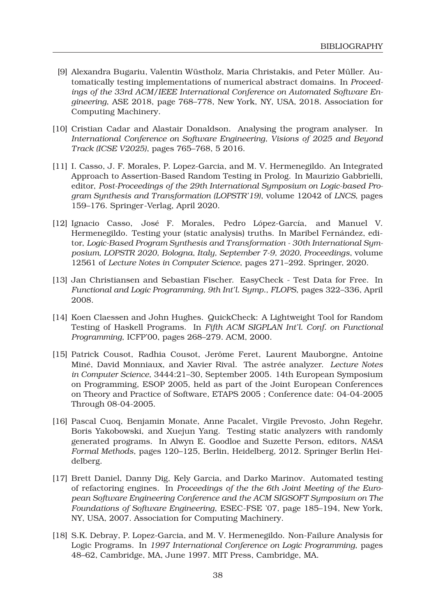- [9] Alexandra Bugariu, Valentin Wüstholz, Maria Christakis, and Peter Müller. Automatically testing implementations of numerical abstract domains. In *Proceedings of the 33rd ACM/IEEE International Conference on Automated Software Engineering*, ASE 2018, page 768–778, New York, NY, USA, 2018. Association for Computing Machinery.
- [10] Cristian Cadar and Alastair Donaldson. Analysing the program analyser. In *International Conference on Software Engineering, Visions of 2025 and Beyond Track (ICSE V2025)*, pages 765–768, 5 2016.
- [11] I. Casso, J. F. Morales, P. Lopez-Garcia, and M. V. Hermenegildo. An Integrated Approach to Assertion-Based Random Testing in Prolog. In Maurizio Gabbrielli, editor, *Post-Proceedings of the 29th International Symposium on Logic-based Program Synthesis and Transformation (LOPSTR'19)*, volume 12042 of *LNCS*, pages 159–176. Springer-Verlag, April 2020.
- [12] Ignacio Casso, José F. Morales, Pedro López-García, and Manuel V. Hermenegildo. Testing your (static analysis) truths. In Maribel Fernández, editor, *Logic-Based Program Synthesis and Transformation - 30th International Symposium, LOPSTR 2020, Bologna, Italy, September 7-9, 2020, Proceedings*, volume 12561 of *Lecture Notes in Computer Science*, pages 271–292. Springer, 2020.
- [13] Jan Christiansen and Sebastian Fischer. EasyCheck Test Data for Free. In *Functional and Logic Programming, 9th Int'l. Symp., FLOPS*, pages 322–336, April 2008.
- [14] Koen Claessen and John Hughes. QuickCheck: A Lightweight Tool for Random Testing of Haskell Programs. In *Fifth ACM SIGPLAN Int'l. Conf. on Functional Programming*, ICFP'00, pages 268–279. ACM, 2000.
- [15] Patrick Cousot, Radhia Cousot, Jerôme Feret, Laurent Mauborgne, Antoine Miné, David Monniaux, and Xavier Rival. The astrée analyzer. *Lecture Notes in Computer Science*, 3444:21–30, September 2005. 14th European Symposium on Programming, ESOP 2005, held as part of the Joint European Conferences on Theory and Practice of Software, ETAPS 2005 ; Conference date: 04-04-2005 Through 08-04-2005.
- [16] Pascal Cuoq, Benjamin Monate, Anne Pacalet, Virgile Prevosto, John Regehr, Boris Yakobowski, and Xuejun Yang. Testing static analyzers with randomly generated programs. In Alwyn E. Goodloe and Suzette Person, editors, *NASA Formal Methods*, pages 120–125, Berlin, Heidelberg, 2012. Springer Berlin Heidelberg.
- [17] Brett Daniel, Danny Dig, Kely Garcia, and Darko Marinov. Automated testing of refactoring engines. In *Proceedings of the the 6th Joint Meeting of the European Software Engineering Conference and the ACM SIGSOFT Symposium on The Foundations of Software Engineering*, ESEC-FSE '07, page 185–194, New York, NY, USA, 2007. Association for Computing Machinery.
- [18] S.K. Debray, P. Lopez-Garcia, and M. V. Hermenegildo. Non-Failure Analysis for Logic Programs. In *1997 International Conference on Logic Programming*, pages 48–62, Cambridge, MA, June 1997. MIT Press, Cambridge, MA.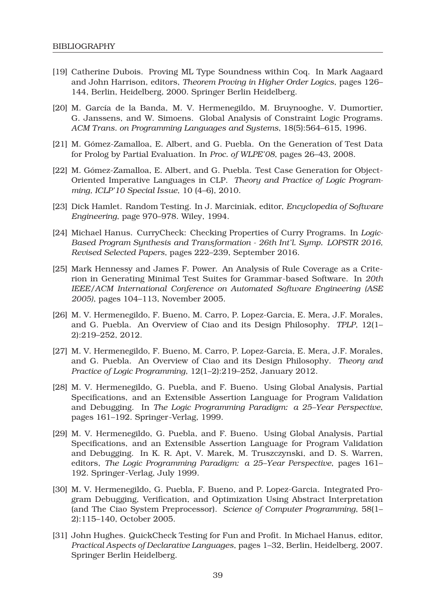- [19] Catherine Dubois. Proving ML Type Soundness within Coq. In Mark Aagaard and John Harrison, editors, *Theorem Proving in Higher Order Logics*, pages 126– 144, Berlin, Heidelberg, 2000. Springer Berlin Heidelberg.
- [20] M. García de la Banda, M. V. Hermenegildo, M. Bruynooghe, V. Dumortier, G. Janssens, and W. Simoens. Global Analysis of Constraint Logic Programs. *ACM Trans. on Programming Languages and Systems*, 18(5):564–615, 1996.
- [21] M. Gómez-Zamalloa, E. Albert, and G. Puebla. On the Generation of Test Data for Prolog by Partial Evaluation. In *Proc. of WLPE'08*, pages 26–43, 2008.
- [22] M. Gómez-Zamalloa, E. Albert, and G. Puebla. Test Case Generation for Object-Oriented Imperative Languages in CLP. *Theory and Practice of Logic Programming, ICLP'10 Special Issue*, 10 (4–6), 2010.
- [23] Dick Hamlet. Random Testing. In J. Marciniak, editor, *Encyclopedia of Software Engineering*, page 970–978. Wiley, 1994.
- [24] Michael Hanus. CurryCheck: Checking Properties of Curry Programs. In *Logic-Based Program Synthesis and Transformation - 26th Int'l. Symp. LOPSTR 2016, Revised Selected Papers*, pages 222–239, September 2016.
- [25] Mark Hennessy and James F. Power. An Analysis of Rule Coverage as a Criterion in Generating Minimal Test Suites for Grammar-based Software. In *20th IEEE/ACM International Conference on Automated Software Engineering (ASE 2005)*, pages 104–113, November 2005.
- [26] M. V. Hermenegildo, F. Bueno, M. Carro, P. Lopez-Garcia, E. Mera, J.F. Morales, and G. Puebla. An Overview of Ciao and its Design Philosophy. *TPLP*, 12(1– 2):219–252, 2012.
- [27] M. V. Hermenegildo, F. Bueno, M. Carro, P. Lopez-Garcia, E. Mera, J.F. Morales, and G. Puebla. An Overview of Ciao and its Design Philosophy. *Theory and Practice of Logic Programming*, 12(1–2):219–252, January 2012.
- [28] M. V. Hermenegildo, G. Puebla, and F. Bueno. Using Global Analysis, Partial Specifications, and an Extensible Assertion Language for Program Validation and Debugging. In *The Logic Programming Paradigm: a 25–Year Perspective*, pages 161–192. Springer-Verlag, 1999.
- [29] M. V. Hermenegildo, G. Puebla, and F. Bueno. Using Global Analysis, Partial Specifications, and an Extensible Assertion Language for Program Validation and Debugging. In K. R. Apt, V. Marek, M. Truszczynski, and D. S. Warren, editors, *The Logic Programming Paradigm: a 25–Year Perspective*, pages 161– 192. Springer-Verlag, July 1999.
- [30] M. V. Hermenegildo, G. Puebla, F. Bueno, and P. Lopez-Garcia. Integrated Program Debugging, Verification, and Optimization Using Abstract Interpretation (and The Ciao System Preprocessor). *Science of Computer Programming*, 58(1– 2):115–140, October 2005.
- [31] John Hughes. QuickCheck Testing for Fun and Profit. In Michael Hanus, editor, *Practical Aspects of Declarative Languages*, pages 1–32, Berlin, Heidelberg, 2007. Springer Berlin Heidelberg.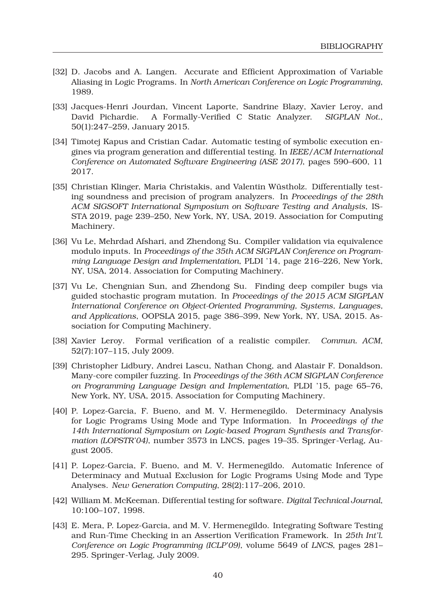- [32] D. Jacobs and A. Langen. Accurate and Efficient Approximation of Variable Aliasing in Logic Programs. In *North American Conference on Logic Programming*, 1989.
- [33] Jacques-Henri Jourdan, Vincent Laporte, Sandrine Blazy, Xavier Leroy, and David Pichardie. A Formally-Verified C Static Analyzer. *SIGPLAN Not.*, 50(1):247–259, January 2015.
- [34] Timotej Kapus and Cristian Cadar. Automatic testing of symbolic execution engines via program generation and differential testing. In *IEEE/ACM International Conference on Automated Software Engineering (ASE 2017)*, pages 590–600, 11 2017.
- [35] Christian Klinger, Maria Christakis, and Valentin Wüstholz. Differentially testing soundness and precision of program analyzers. In *Proceedings of the 28th ACM SIGSOFT International Symposium on Software Testing and Analysis*, IS-STA 2019, page 239–250, New York, NY, USA, 2019. Association for Computing Machinery.
- [36] Vu Le, Mehrdad Afshari, and Zhendong Su. Compiler validation via equivalence modulo inputs. In *Proceedings of the 35th ACM SIGPLAN Conference on Programming Language Design and Implementation*, PLDI '14, page 216–226, New York, NY, USA, 2014. Association for Computing Machinery.
- [37] Vu Le, Chengnian Sun, and Zhendong Su. Finding deep compiler bugs via guided stochastic program mutation. In *Proceedings of the 2015 ACM SIGPLAN International Conference on Object-Oriented Programming, Systems, Languages, and Applications*, OOPSLA 2015, page 386–399, New York, NY, USA, 2015. Association for Computing Machinery.
- [38] Xavier Leroy. Formal verification of a realistic compiler. *Commun. ACM*, 52(7):107–115, July 2009.
- [39] Christopher Lidbury, Andrei Lascu, Nathan Chong, and Alastair F. Donaldson. Many-core compiler fuzzing. In *Proceedings of the 36th ACM SIGPLAN Conference on Programming Language Design and Implementation*, PLDI '15, page 65–76, New York, NY, USA, 2015. Association for Computing Machinery.
- [40] P. Lopez-Garcia, F. Bueno, and M. V. Hermenegildo. Determinacy Analysis for Logic Programs Using Mode and Type Information. In *Proceedings of the 14th International Symposium on Logic-based Program Synthesis and Transformation (LOPSTR'04)*, number 3573 in LNCS, pages 19–35. Springer-Verlag, August 2005.
- [41] P. Lopez-Garcia, F. Bueno, and M. V. Hermenegildo. Automatic Inference of Determinacy and Mutual Exclusion for Logic Programs Using Mode and Type Analyses. *New Generation Computing*, 28(2):117–206, 2010.
- [42] William M. McKeeman. Differential testing for software. *Digital Technical Journal*, 10:100–107, 1998.
- [43] E. Mera, P. Lopez-Garcia, and M. V. Hermenegildo. Integrating Software Testing and Run-Time Checking in an Assertion Verification Framework. In *25th Int'l. Conference on Logic Programming (ICLP'09)*, volume 5649 of *LNCS*, pages 281– 295. Springer-Verlag, July 2009.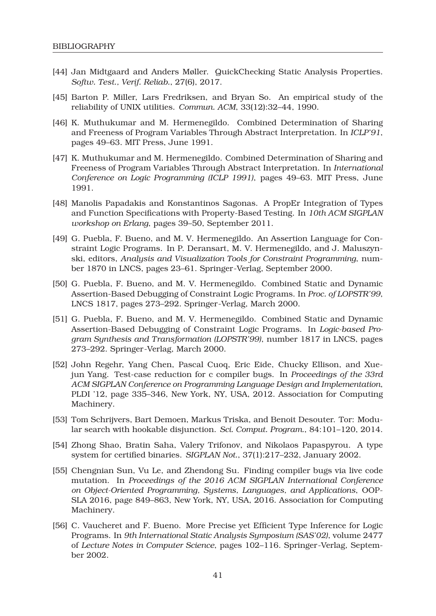- [44] Jan Midtgaard and Anders Møller. QuickChecking Static Analysis Properties. *Softw. Test., Verif. Reliab.*, 27(6), 2017.
- [45] Barton P. Miller, Lars Fredriksen, and Bryan So. An empirical study of the reliability of UNIX utilities. *Commun. ACM*, 33(12):32–44, 1990.
- [46] K. Muthukumar and M. Hermenegildo. Combined Determination of Sharing and Freeness of Program Variables Through Abstract Interpretation. In *ICLP'91*, pages 49–63. MIT Press, June 1991.
- [47] K. Muthukumar and M. Hermenegildo. Combined Determination of Sharing and Freeness of Program Variables Through Abstract Interpretation. In *International Conference on Logic Programming (ICLP 1991)*, pages 49–63. MIT Press, June 1991.
- [48] Manolis Papadakis and Konstantinos Sagonas. A PropEr Integration of Types and Function Specifications with Property-Based Testing. In *10th ACM SIGPLAN workshop on Erlang*, pages 39–50, September 2011.
- [49] G. Puebla, F. Bueno, and M. V. Hermenegildo. An Assertion Language for Constraint Logic Programs. In P. Deransart, M. V. Hermenegildo, and J. Maluszynski, editors, *Analysis and Visualization Tools for Constraint Programming*, number 1870 in LNCS, pages 23–61. Springer-Verlag, September 2000.
- [50] G. Puebla, F. Bueno, and M. V. Hermenegildo. Combined Static and Dynamic Assertion-Based Debugging of Constraint Logic Programs. In *Proc. of LOPSTR'99*, LNCS 1817, pages 273–292. Springer-Verlag, March 2000.
- [51] G. Puebla, F. Bueno, and M. V. Hermenegildo. Combined Static and Dynamic Assertion-Based Debugging of Constraint Logic Programs. In *Logic-based Program Synthesis and Transformation (LOPSTR'99)*, number 1817 in LNCS, pages 273–292. Springer-Verlag, March 2000.
- [52] John Regehr, Yang Chen, Pascal Cuoq, Eric Eide, Chucky Ellison, and Xuejun Yang. Test-case reduction for c compiler bugs. In *Proceedings of the 33rd ACM SIGPLAN Conference on Programming Language Design and Implementation*, PLDI '12, page 335–346, New York, NY, USA, 2012. Association for Computing Machinery.
- [53] Tom Schrijvers, Bart Demoen, Markus Triska, and Benoit Desouter. Tor: Modular search with hookable disjunction. *Sci. Comput. Program.*, 84:101–120, 2014.
- [54] Zhong Shao, Bratin Saha, Valery Trifonov, and Nikolaos Papaspyrou. A type system for certified binaries. *SIGPLAN Not.*, 37(1):217–232, January 2002.
- [55] Chengnian Sun, Vu Le, and Zhendong Su. Finding compiler bugs via live code mutation. In *Proceedings of the 2016 ACM SIGPLAN International Conference on Object-Oriented Programming, Systems, Languages, and Applications*, OOP-SLA 2016, page 849–863, New York, NY, USA, 2016. Association for Computing Machinery.
- [56] C. Vaucheret and F. Bueno. More Precise yet Efficient Type Inference for Logic Programs. In *9th International Static Analysis Symposium (SAS'02)*, volume 2477 of *Lecture Notes in Computer Science*, pages 102–116. Springer-Verlag, September 2002.